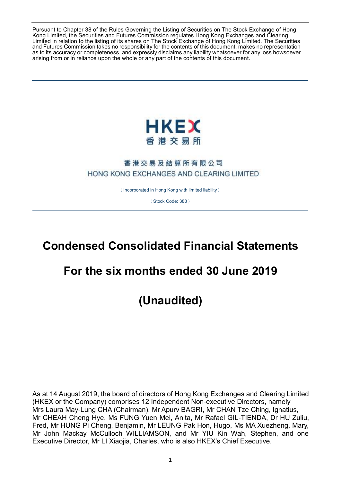Pursuant to Chapter 38 of the Rules Governing the Listing of Securities on The Stock Exchange of Hong Kong Limited, the Securities and Futures Commission regulates Hong Kong Exchanges and Clearing Limited in relation to the listing of its shares on The Stock Exchange of Hong Kong Limited. The Securities and Futures Commission takes no responsibility for the contents of this document, makes no representation as to its accuracy or completeness, and expressly disclaims any liability whatsoever for any loss howsoever arising from or in reliance upon the whole or any part of the contents of this document.



## 香港交易及結算所有限公司 HONG KONG EXCHANGES AND CLEARING LIMITED

(Incorporated in Hong Kong with limited liability)

(Stock Code: 388)

# **Condensed Consolidated Financial Statements**

# **For the six months ended 30 June 2019**

**(Unaudited)**

As at 14 August 2019, the board of directors of Hong Kong Exchanges and Clearing Limited (HKEX or the Company) comprises 12 Independent Non-executive Directors, namely Mrs Laura May-Lung CHA (Chairman), Mr Apurv BAGRI, Mr CHAN Tze Ching, Ignatius, Mr CHEAH Cheng Hye, Ms FUNG Yuen Mei, Anita, Mr Rafael GIL-TIENDA, Dr HU Zuliu, Fred, Mr HUNG Pi Cheng, Benjamin, Mr LEUNG Pak Hon, Hugo, Ms MA Xuezheng, Mary, Mr John Mackay McCulloch WILLIAMSON, and Mr YIU Kin Wah, Stephen, and one Executive Director, Mr LI Xiaojia, Charles, who is also HKEX's Chief Executive.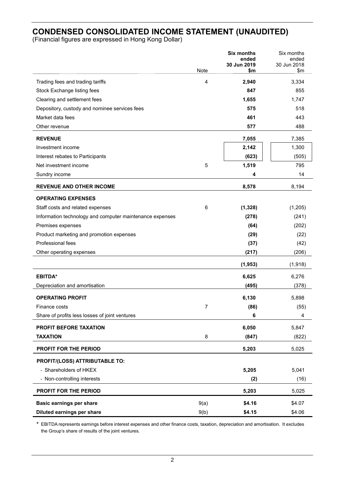## **CONDENSED CONSOLIDATED INCOME STATEMENT (UNAUDITED)**

(Financial figures are expressed in Hong Kong Dollar)

| ended<br>ended<br>30 Jun 2018<br>30 Jun 2019<br>Note<br>\$m<br>\$m<br>3,334<br>Trading fees and trading tariffs<br>4<br>2,940<br>Stock Exchange listing fees<br>847<br>855 |
|----------------------------------------------------------------------------------------------------------------------------------------------------------------------------|
|                                                                                                                                                                            |
|                                                                                                                                                                            |
|                                                                                                                                                                            |
|                                                                                                                                                                            |
| 1,655<br>Clearing and settlement fees<br>1,747                                                                                                                             |
| 575<br>518<br>Depository, custody and nominee services fees                                                                                                                |
| Market data fees<br>461<br>443                                                                                                                                             |
| 488<br>Other revenue<br>577                                                                                                                                                |
| 7,055<br>7,385<br><b>REVENUE</b>                                                                                                                                           |
| 1,300<br>Investment income<br>2,142                                                                                                                                        |
| (505)<br>Interest rebates to Participants<br>(623)                                                                                                                         |
| 5<br>1,519<br>795<br>Net investment income                                                                                                                                 |
| 14<br>Sundry income<br>4                                                                                                                                                   |
| <b>REVENUE AND OTHER INCOME</b><br>8,578<br>8,194                                                                                                                          |
| <b>OPERATING EXPENSES</b>                                                                                                                                                  |
| 6<br>(1, 205)<br>(1, 328)<br>Staff costs and related expenses                                                                                                              |
| Information technology and computer maintenance expenses<br>(278)<br>(241)                                                                                                 |
| (202)<br>Premises expenses<br>(64)                                                                                                                                         |
| Product marketing and promotion expenses<br>(29)<br>(22)                                                                                                                   |
| Professional fees<br>(37)<br>(42)                                                                                                                                          |
| (206)<br>Other operating expenses<br>(217)                                                                                                                                 |
| (1, 953)<br>(1,918)                                                                                                                                                        |
| <b>EBITDA*</b><br>6,625<br>6,276                                                                                                                                           |
| Depreciation and amortisation<br>(495)<br>(378)                                                                                                                            |
| <b>OPERATING PROFIT</b><br>6,130<br>5,898                                                                                                                                  |
| (86)<br>(55)<br>Finance costs<br>7                                                                                                                                         |
| Share of profits less losses of joint ventures<br>6<br>4                                                                                                                   |
| 6,050<br>5,847<br>PROFIT BEFORE TAXATION                                                                                                                                   |
| <b>TAXATION</b><br>8<br>(847)<br>(822)                                                                                                                                     |
| PROFIT FOR THE PERIOD<br>5,203<br>5,025                                                                                                                                    |
| PROFIT/(LOSS) ATTRIBUTABLE TO:                                                                                                                                             |
| - Shareholders of HKEX<br>5,205<br>5,041                                                                                                                                   |
| - Non-controlling interests<br>(2)<br>(16)                                                                                                                                 |
| PROFIT FOR THE PERIOD<br>5,203<br>5,025                                                                                                                                    |
| 9(a)<br><b>Basic earnings per share</b><br>\$4.16<br>\$4.07                                                                                                                |
| Diluted earnings per share<br>9(b)<br>\$4.15<br>\$4.06                                                                                                                     |

**\*** EBITDA represents earnings before interest expenses and other finance costs, taxation, depreciation and amortisation. It excludes the Group's share of results of the joint ventures.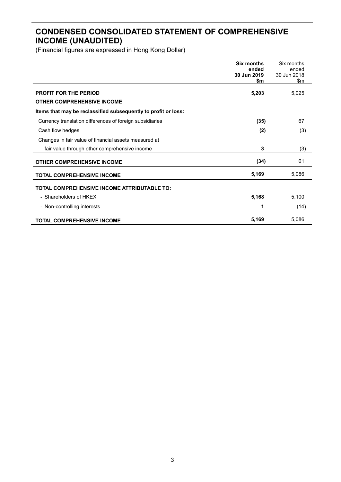## **CONDENSED CONSOLIDATED STATEMENT OF COMPREHENSIVE INCOME (UNAUDITED)**

|                                                                | <b>Six months</b><br>ended<br>30 Jun 2019<br>\$m | Six months<br>ended<br>30 Jun 2018<br>\$m |
|----------------------------------------------------------------|--------------------------------------------------|-------------------------------------------|
| <b>PROFIT FOR THE PERIOD</b>                                   | 5,203                                            | 5,025                                     |
| <b>OTHER COMPREHENSIVE INCOME</b>                              |                                                  |                                           |
| Items that may be reclassified subsequently to profit or loss: |                                                  |                                           |
| Currency translation differences of foreign subsidiaries       | (35)                                             | 67                                        |
| Cash flow hedges                                               | (2)                                              | (3)                                       |
| Changes in fair value of financial assets measured at          |                                                  |                                           |
| fair value through other comprehensive income                  | 3                                                | (3)                                       |
| <b>OTHER COMPREHENSIVE INCOME</b>                              | (34)                                             | 61                                        |
| <b>TOTAL COMPREHENSIVE INCOME</b>                              | 5,169                                            | 5,086                                     |
| <b>TOTAL COMPREHENSIVE INCOME ATTRIBUTABLE TO:</b>             |                                                  |                                           |
| - Shareholders of HKEX                                         | 5,168                                            | 5,100                                     |
| - Non-controlling interests                                    | 1                                                | (14)                                      |
| <b>TOTAL COMPREHENSIVE INCOME</b>                              | 5,169                                            | 5,086                                     |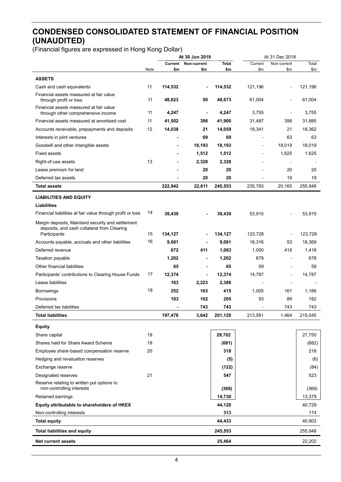## **CONDENSED CONSOLIDATED STATEMENT OF FINANCIAL POSITION (UNAUDITED)**

|                                                                                                  |      | At 30 Jun 2019 |                                   | At 31 Dec 2018      |                          |                          |                   |
|--------------------------------------------------------------------------------------------------|------|----------------|-----------------------------------|---------------------|--------------------------|--------------------------|-------------------|
|                                                                                                  | Note | \$m            | <b>Current Non-current</b><br>\$m | <b>Total</b><br>\$m | Current<br>\$m           | Non-current<br>\$m       | Total             |
|                                                                                                  |      |                |                                   |                     |                          |                          | \$m               |
| <b>ASSETS</b>                                                                                    |      |                |                                   |                     |                          |                          |                   |
| Cash and cash equivalents                                                                        | 11   | 114,532        | $\sim$                            | 114,532             | 121,196                  | $\blacksquare$           | 121,196           |
| Financial assets measured at fair value<br>through profit or loss                                | 11   | 48,623         | 50                                | 48,673              | 61,004                   | $\blacksquare$           | 61,004            |
| Financial assets measured at fair value<br>through other comprehensive income                    | 11   | 4,247          | $\blacksquare$                    | 4,247               | 3,755                    | $\blacksquare$           | 3,755             |
| Financial assets measured at amortised cost                                                      | 11   | 41,502         | 398                               | 41,900              | 31,487                   | 398                      | 31,885            |
| Accounts receivable, prepayments and deposits                                                    | 12   | 14,038         | 21                                | 14,059              | 18,341                   | 21                       | 18,362            |
| Interests in joint ventures                                                                      |      | $\blacksquare$ | 69                                | 69                  | $\overline{\phantom{a}}$ | 63                       | 63                |
| Goodwill and other intangible assets                                                             |      | $\blacksquare$ | 18,193                            | 18,193              | $\sim$                   | 18,019                   | 18,019            |
| Fixed assets                                                                                     |      |                | 1,512                             | 1,512               | $\overline{\phantom{a}}$ | 1,625                    | 1,625             |
| Right-of-use assets                                                                              | 13   | $\blacksquare$ | 2,328                             | 2,328               | $\sim$                   | $\overline{\phantom{a}}$ | $\blacksquare$    |
| Lease premium for land                                                                           |      |                | 20                                | 20                  |                          | 20                       | 20                |
| Deferred tax assets                                                                              |      |                | 20                                | 20                  |                          | 19                       | 19                |
| <b>Total assets</b>                                                                              |      | 222,942        | 22,611                            | 245,553             | 235,783                  | 20,165                   | 255,948           |
| <b>LIABILITIES AND EQUITY</b>                                                                    |      |                |                                   |                     |                          |                          |                   |
| <b>Liabilities</b>                                                                               |      |                |                                   |                     |                          |                          |                   |
| Financial liabilities at fair value through profit or loss                                       | 14   | 39,439         |                                   | 39,439              | 53,915                   |                          | 53,915            |
| Margin deposits, Mainland security and settlement<br>deposits, and cash collateral from Clearing |      |                |                                   |                     |                          |                          |                   |
| Participants                                                                                     | 15   | 134,127        | $\overline{\phantom{a}}$          | 134,127             | 123,728                  | $\blacksquare$           | 123,728           |
| Accounts payable, accruals and other liabilities                                                 | 16   | 9,081          |                                   | 9,081               | 18,316                   | 53                       | 18,369            |
| Deferred revenue                                                                                 |      | 672            | 411                               | 1,083               | 1,000                    | 418                      | 1,418             |
| Taxation payable                                                                                 |      | 1,202          | $\blacksquare$                    | 1,202               | 678                      | $\blacksquare$           | 678               |
| Other financial liabilities                                                                      |      | 65             | $\overline{\phantom{a}}$          | 65                  | 59                       | $\blacksquare$           | 59                |
| Participants' contributions to Clearing House Funds                                              | 17   | 12,374         | $\blacksquare$                    | 12,374              | 14,787                   | $\blacksquare$           | 14,787            |
| Lease liabilities                                                                                |      | 163            | 2,223                             | 2,386               | $\overline{\phantom{a}}$ | $\blacksquare$           | $\blacksquare$    |
| Borrowings                                                                                       | 18   | 252            | 163                               | 415                 | 1,005                    | 161                      | 1,166             |
| Provisions                                                                                       |      | 103            | 102                               | 205                 | 93                       | 89                       | 182               |
| Deferred tax liabilities                                                                         |      | $\blacksquare$ | 743                               | 743                 | $\sim$                   | 743                      | 743               |
| <b>Total liabilities</b>                                                                         |      | 197,478        | 3,642                             | 201,120             | 213,581                  | 1,464                    | 215,045           |
| <b>Equity</b>                                                                                    |      |                |                                   |                     |                          |                          |                   |
| Share capital                                                                                    | 19   |                |                                   | 29,702              |                          |                          | 27,750            |
| Shares held for Share Award Scheme                                                               | 19   |                |                                   | (681)               |                          |                          | (682)             |
| Employee share-based compensation reserve                                                        | 20   |                |                                   | 318                 |                          |                          | 218               |
| Hedging and revaluation reserves                                                                 |      |                |                                   | (5)                 |                          |                          | (6)               |
| Exchange reserve                                                                                 |      |                |                                   | (122)               |                          |                          | (84)              |
| Designated reserves                                                                              | 21   |                |                                   | 547                 |                          |                          | 523               |
| Reserve relating to written put options to<br>non-controlling interests                          |      |                |                                   | (369)               |                          |                          | (369)             |
| Retained earnings                                                                                |      |                |                                   | 14,730              |                          |                          | 13,379            |
|                                                                                                  |      |                |                                   | 44,120              |                          |                          | 40,729            |
| Equity attributable to shareholders of HKEX                                                      |      |                |                                   | 313                 |                          |                          |                   |
| Non-controlling interests                                                                        |      |                |                                   | 44,433              |                          |                          | 174               |
| <b>Total equity</b><br><b>Total liabilities and equity</b>                                       |      |                |                                   | 245,553             |                          |                          | 40,903<br>255,948 |
|                                                                                                  |      |                |                                   |                     |                          |                          |                   |
| <b>Net current assets</b>                                                                        |      |                |                                   | 25,464              |                          |                          | 22,202            |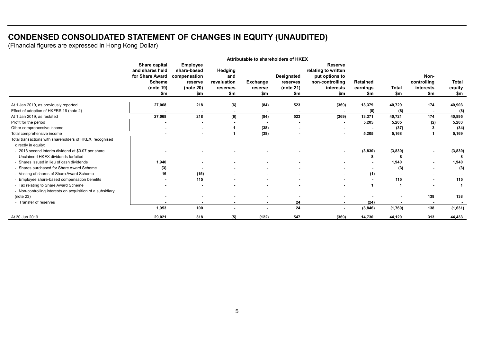## **CONDENSED CONSOLIDATED STATEMENT OF CHANGES IN EQUITY (UNAUDITED)**

|                                                            | Attributable to shareholders of HKEX |                          |                |                 |                          |                                       |                 |              |             |              |
|------------------------------------------------------------|--------------------------------------|--------------------------|----------------|-----------------|--------------------------|---------------------------------------|-----------------|--------------|-------------|--------------|
|                                                            | Share capital<br>and shares held     | Employee<br>share-based  | Hedging        |                 |                          | <b>Reserve</b><br>relating to written |                 |              |             |              |
|                                                            | for Share Award                      | compensation             | and            |                 | <b>Designated</b>        | put options to                        |                 |              | Non-        |              |
|                                                            | <b>Scheme</b>                        | reserve                  | revaluation    | <b>Exchange</b> | reserves                 | non-controlling                       | <b>Retained</b> |              | controlling | <b>Total</b> |
|                                                            | (note 19)                            | (note 20)                | reserves       | reserve         | (note 21)                | interests                             | earnings        | <b>Total</b> | interests   | equity       |
|                                                            | \$m                                  | \$m                      | \$m            | \$m             | \$m                      | \$m                                   | \$m             | \$m          | \$m         | \$m          |
| At 1 Jan 2019, as previously reported                      | 27,068                               | 218                      | (6)            | (84)            | 523                      | (369)                                 | 13,379          | 40,729       | 174         | 40,903       |
| Effect of adoption of HKFRS 16 (note 2)                    |                                      |                          |                |                 |                          |                                       | (8)             | (8)          |             | (8)          |
| At 1 Jan 2019, as restated                                 | 27,068                               | 218                      | (6)            | (84)            | 523                      | (369)                                 | 13,371          | 40,721       | 174         | 40,895       |
| Profit for the period                                      |                                      |                          |                |                 | $\overline{\phantom{a}}$ | $\blacksquare$                        | 5,205           | 5,205        | (2)         | 5,203        |
| Other comprehensive income                                 |                                      |                          |                | (38)            |                          |                                       |                 | (37)         |             | (34)         |
| Total comprehensive income                                 | $\sim$                               | $\overline{\phantom{a}}$ |                | (38)            | $\sim$                   | $\sim$                                | 5.205           | 5,168        |             | 5,169        |
| Total transactions with shareholders of HKEX, recognised   |                                      |                          |                |                 |                          |                                       |                 |              |             |              |
| directly in equity:                                        |                                      |                          |                |                 |                          |                                       |                 |              |             |              |
| - 2018 second interim dividend at \$3.07 per share         |                                      |                          |                |                 |                          |                                       | (3,830)         | (3,830)      |             | (3,830)      |
| - Unclaimed HKEX dividends forfeited                       |                                      |                          |                |                 |                          |                                       | 8               | -8           |             | -8           |
| - Shares issued in lieu of cash dividends                  | 1,940                                |                          |                |                 |                          |                                       |                 | 1,940        |             | 1,940        |
| - Shares purchased for Share Award Scheme                  | (3)                                  |                          |                |                 |                          |                                       |                 | (3)          |             | (3)          |
| - Vesting of shares of Share Award Scheme                  | 16                                   | (15)                     |                |                 |                          |                                       | (1)             |              |             |              |
| Employee share-based compensation benefits                 |                                      | 115                      |                |                 |                          |                                       |                 | 115          |             | 115          |
| - Tax relating to Share Award Scheme                       |                                      |                          |                |                 |                          |                                       |                 |              |             |              |
| - Non-controlling interests on acquisition of a subsidiary |                                      |                          |                |                 |                          |                                       |                 |              |             |              |
| (note 23)                                                  |                                      |                          |                |                 |                          |                                       |                 |              | 138         | 138          |
| - Transfer of reserves                                     |                                      |                          | ۰              | ٠               | 24                       | $\sim$                                | (24)            |              |             |              |
|                                                            | 1,953                                | 100                      | $\blacksquare$ | $\blacksquare$  | 24                       | $\sim$                                | (3, 846)        | (1,769)      | 138         | (1,631)      |
| At 30 Jun 2019                                             | 29,021                               | 318                      | (5)            | (122)           | 547                      | (369)                                 | 14,730          | 44,120       | 313         | 44,433       |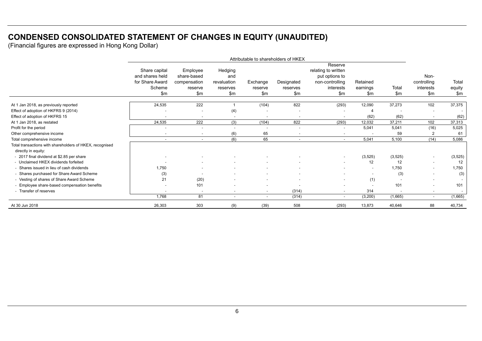## **CONDENSED CONSOLIDATED STATEMENT OF CHANGES IN EQUITY (UNAUDITED)**

|                                                                                 | Attributable to shareholders of HKEX                                 |                                                             |                                                    |                            |                                 |                                                                                         |                             |              |                                           |                        |
|---------------------------------------------------------------------------------|----------------------------------------------------------------------|-------------------------------------------------------------|----------------------------------------------------|----------------------------|---------------------------------|-----------------------------------------------------------------------------------------|-----------------------------|--------------|-------------------------------------------|------------------------|
|                                                                                 | Share capital<br>and shares held<br>for Share Award<br>Scheme<br>\$m | Employee<br>share-based<br>compensation<br>reserve<br>\$m\$ | Hedging<br>and<br>revaluation<br>reserves<br>\$m\$ | Exchange<br>reserve<br>\$m | Designated<br>reserves<br>\$m\$ | Reserve<br>relating to written<br>put options to<br>non-controlling<br>interests<br>\$m | Retained<br>earnings<br>\$m | Total<br>\$m | Non-<br>controlling<br>interests<br>\$m\$ | Total<br>equity<br>\$m |
| At 1 Jan 2018, as previously reported                                           | 24,535                                                               | 222                                                         |                                                    | (104)                      | 822                             | (293)                                                                                   | 12,090                      | 37,273       | 102                                       | 37,375                 |
| Effect of adoption of HKFRS 9 (2014)                                            |                                                                      |                                                             | (4)                                                |                            |                                 |                                                                                         |                             |              | $\sim$                                    |                        |
| Effect of adoption of HKFRS 15                                                  | $\overline{\phantom{a}}$                                             | $\overline{\phantom{a}}$                                    | $\sim$                                             | $\sim$                     |                                 | $\blacksquare$                                                                          | (62)                        | (62)         | $\sim$                                    | (62)                   |
| At 1 Jan 2018, as restated                                                      | 24,535                                                               | 222                                                         | (3)                                                | (104)                      | 822                             | (293)                                                                                   | 12,032                      | 37,211       | 102                                       | 37,313                 |
| Profit for the period                                                           |                                                                      | $\overline{\phantom{a}}$                                    |                                                    |                            |                                 | $\blacksquare$                                                                          | 5,041                       | 5,041        | (16)                                      | 5,025                  |
| Other comprehensive income                                                      | $\overline{\phantom{a}}$                                             | $\sim$                                                      | (6)                                                | 65                         | $\overline{\phantom{a}}$        | $\blacksquare$                                                                          | $\sim$                      | 59           | 2                                         | 61                     |
| Total comprehensive income                                                      | $\blacksquare$                                                       | $\sim$                                                      | (6)                                                | 65                         | $\overline{\phantom{a}}$        | $\sim$                                                                                  | 5,041                       | 5,100        | (14)                                      | 5,086                  |
| Total transactions with shareholders of HKEX, recognised<br>directly in equity: |                                                                      |                                                             |                                                    |                            |                                 |                                                                                         |                             |              |                                           |                        |
| - 2017 final dividend at \$2.85 per share                                       |                                                                      |                                                             |                                                    |                            |                                 | $\blacksquare$                                                                          | (3, 525)                    | (3, 525)     | $\sim$                                    | (3, 525)               |
| - Unclaimed HKEX dividends forfeited                                            | $\overline{\phantom{a}}$                                             | $\sim$                                                      |                                                    |                            |                                 | $\blacksquare$                                                                          | 12                          | 12           | $\overline{\phantom{a}}$                  | 12                     |
| - Shares issued in lieu of cash dividends                                       | 1.750                                                                |                                                             |                                                    |                            |                                 |                                                                                         |                             | 1,750        | $\sim$                                    | 1,750                  |
| - Shares purchased for Share Award Scheme                                       | (3)                                                                  |                                                             |                                                    |                            |                                 |                                                                                         |                             | (3)          | $\overline{a}$                            | (3)                    |
| - Vesting of shares of Share Award Scheme                                       | 21                                                                   | (20)                                                        | $\sim$                                             | $\sim$                     | $\overline{\phantom{a}}$        | $\blacksquare$                                                                          | (1)                         |              | $\sim$                                    |                        |
| - Employee share-based compensation benefits                                    |                                                                      | 101                                                         |                                                    |                            |                                 |                                                                                         |                             | 101          | $\overline{\phantom{a}}$                  | 101                    |
| - Transfer of reserves                                                          | $\overline{\phantom{a}}$                                             | $\overline{\phantom{a}}$                                    | $\sim$                                             | $\sim$                     | (314)                           | $\blacksquare$                                                                          | 314                         | $\sim$       | $\overline{\phantom{a}}$                  | $\sim$                 |
|                                                                                 | 1,768                                                                | 81                                                          | $\sim$                                             | $\sim$                     | (314)                           | $\sim$                                                                                  | (3,200)                     | (1,665)      | $\sim$                                    | (1,665)                |
| At 30 Jun 2018                                                                  | 26,303                                                               | 303                                                         | (9)                                                | (39)                       | 508                             | (293)                                                                                   | 13,873                      | 40,646       | 88                                        | 40,734                 |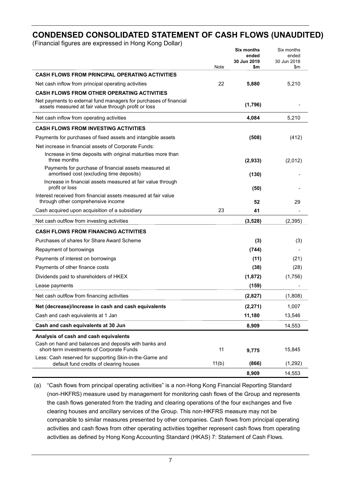## **CONDENSED CONSOLIDATED STATEMENT OF CASH FLOWS (UNAUDITED)**

(Financial figures are expressed in Hong Kong Dollar)

|                                                                                                                           | Note  | <b>Six months</b><br>ended<br>30 Jun 2019<br>\$m | Six months<br>ended<br>30 Jun 2018<br>\$m |
|---------------------------------------------------------------------------------------------------------------------------|-------|--------------------------------------------------|-------------------------------------------|
| <b>CASH FLOWS FROM PRINCIPAL OPERATING ACTIVITIES</b>                                                                     |       |                                                  |                                           |
| Net cash inflow from principal operating activities                                                                       | 22    | 5,880                                            | 5,210                                     |
| <b>CASH FLOWS FROM OTHER OPERATING ACTIVITIES</b>                                                                         |       |                                                  |                                           |
| Net payments to external fund managers for purchases of financial<br>assets measured at fair value through profit or loss |       | (1,796)                                          |                                           |
| Net cash inflow from operating activities                                                                                 |       | 4,084                                            | 5,210                                     |
| <b>CASH FLOWS FROM INVESTING ACTIVITIES</b>                                                                               |       |                                                  |                                           |
| Payments for purchases of fixed assets and intangible assets                                                              |       | (508)                                            | (412)                                     |
| Net increase in financial assets of Corporate Funds:                                                                      |       |                                                  |                                           |
| Increase in time deposits with original maturities more than<br>three months                                              |       | (2,933)                                          | (2,012)                                   |
| Payments for purchase of financial assets measured at<br>amortised cost (excluding time deposits)                         |       | (130)                                            |                                           |
| Increase in financial assets measured at fair value through<br>profit or loss                                             |       | (50)                                             |                                           |
| Interest received from financial assets measured at fair value<br>through other comprehensive income                      |       | 52                                               | 29                                        |
| Cash acquired upon acquisition of a subsidiary                                                                            | 23    | 41                                               |                                           |
| Net cash outflow from investing activities                                                                                |       | (3,528)                                          | (2, 395)                                  |
| <b>CASH FLOWS FROM FINANCING ACTIVITIES</b>                                                                               |       |                                                  |                                           |
| Purchases of shares for Share Award Scheme                                                                                |       | (3)                                              | (3)                                       |
| Repayment of borrowings                                                                                                   |       | (744)                                            |                                           |
| Payments of interest on borrowings                                                                                        |       | (11)                                             | (21)                                      |
| Payments of other finance costs                                                                                           |       | (38)                                             | (28)                                      |
| Dividends paid to shareholders of HKEX                                                                                    |       | (1, 872)                                         | (1,756)                                   |
| Lease payments                                                                                                            |       | (159)                                            |                                           |
| Net cash outflow from financing activities                                                                                |       | (2,827)                                          | (1,808)                                   |
| Net (decrease)/increase in cash and cash equivalents                                                                      |       | (2, 271)                                         | 1,007                                     |
| Cash and cash equivalents at 1 Jan                                                                                        |       | 11,180                                           | 13,546                                    |
| Cash and cash equivalents at 30 Jun                                                                                       |       | 8,909                                            | 14,553                                    |
| Analysis of cash and cash equivalents                                                                                     |       |                                                  |                                           |
| Cash on hand and balances and deposits with banks and<br>short-term investments of Corporate Funds                        | 11    | 9,775                                            | 15,845                                    |
| Less: Cash reserved for supporting Skin-in-the-Game and<br>default fund credits of clearing houses                        | 11(b) | (866)                                            | (1, 292)                                  |
|                                                                                                                           |       | 8,909                                            | 14,553                                    |

(a) "Cash flows from principal operating activities" is a non-Hong Kong Financial Reporting Standard (non-HKFRS) measure used by management for monitoring cash flows of the Group and represents the cash flows generated from the trading and clearing operations of the four exchanges and five clearing houses and ancillary services of the Group. This non-HKFRS measure may not be comparable to similar measures presented by other companies. Cash flows from principal operating activities and cash flows from other operating activities together represent cash flows from operating activities as defined by Hong Kong Accounting Standard (HKAS) 7: Statement of Cash Flows.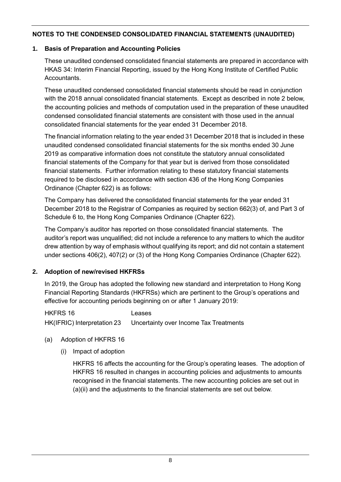## **1. Basis of Preparation and Accounting Policies**

These unaudited condensed consolidated financial statements are prepared in accordance with HKAS 34: Interim Financial Reporting, issued by the Hong Kong Institute of Certified Public Accountants.

These unaudited condensed consolidated financial statements should be read in conjunction with the 2018 annual consolidated financial statements. Except as described in note 2 below, the accounting policies and methods of computation used in the preparation of these unaudited condensed consolidated financial statements are consistent with those used in the annual consolidated financial statements for the year ended 31 December 2018.

The financial information relating to the year ended 31 December 2018 that is included in these unaudited condensed consolidated financial statements for the six months ended 30 June 2019 as comparative information does not constitute the statutory annual consolidated financial statements of the Company for that year but is derived from those consolidated financial statements. Further information relating to these statutory financial statements required to be disclosed in accordance with section 436 of the Hong Kong Companies Ordinance (Chapter 622) is as follows:

The Company has delivered the consolidated financial statements for the year ended 31 December 2018 to the Registrar of Companies as required by section 662(3) of, and Part 3 of Schedule 6 to, the Hong Kong Companies Ordinance (Chapter 622).

The Company's auditor has reported on those consolidated financial statements. The auditor's report was unqualified; did not include a reference to any matters to which the auditor drew attention by way of emphasis without qualifying its report; and did not contain a statement under sections 406(2), 407(2) or (3) of the Hong Kong Companies Ordinance (Chapter 622).

## **2. Adoption of new/revised HKFRSs**

In 2019, the Group has adopted the following new standard and interpretation to Hong Kong Financial Reporting Standards (HKFRSs) which are pertinent to the Group's operations and effective for accounting periods beginning on or after 1 January 2019:

HKFRS 16 Leases HK(IFRIC) Interpretation 23 Uncertainty over Income Tax Treatments

- (a) Adoption of HKFRS 16
	- (i) Impact of adoption

HKFRS 16 affects the accounting for the Group's operating leases. The adoption of HKFRS 16 resulted in changes in accounting policies and adjustments to amounts recognised in the financial statements. The new accounting policies are set out in (a)(ii) and the adjustments to the financial statements are set out below.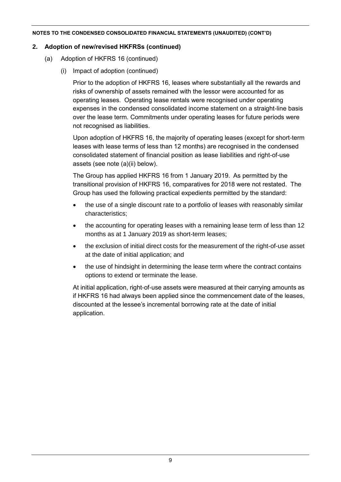## **2. Adoption of new/revised HKFRSs (continued)**

- (a) Adoption of HKFRS 16 (continued)
	- (i) Impact of adoption (continued)

Prior to the adoption of HKFRS 16, leases where substantially all the rewards and risks of ownership of assets remained with the lessor were accounted for as operating leases. Operating lease rentals were recognised under operating expenses in the condensed consolidated income statement on a straight-line basis over the lease term. Commitments under operating leases for future periods were not recognised as liabilities.

Upon adoption of HKFRS 16, the majority of operating leases (except for short-term leases with lease terms of less than 12 months) are recognised in the condensed consolidated statement of financial position as lease liabilities and right-of-use assets (see note (a)(ii) below).

The Group has applied HKFRS 16 from 1 January 2019. As permitted by the transitional provision of HKFRS 16, comparatives for 2018 were not restated. The Group has used the following practical expedients permitted by the standard:

- the use of a single discount rate to a portfolio of leases with reasonably similar characteristics;
- the accounting for operating leases with a remaining lease term of less than 12 months as at 1 January 2019 as short-term leases;
- the exclusion of initial direct costs for the measurement of the right-of-use asset at the date of initial application; and
- the use of hindsight in determining the lease term where the contract contains options to extend or terminate the lease.

At initial application, right-of-use assets were measured at their carrying amounts as if HKFRS 16 had always been applied since the commencement date of the leases, discounted at the lessee's incremental borrowing rate at the date of initial application.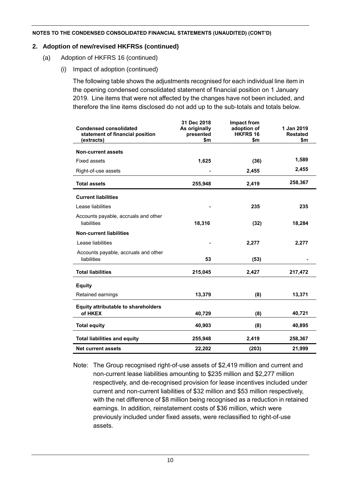## **2. Adoption of new/revised HKFRSs (continued)**

- (a) Adoption of HKFRS 16 (continued)
	- (i) Impact of adoption (continued)

The following table shows the adjustments recognised for each individual line item in the opening condensed consolidated statement of financial position on 1 January 2019. Line items that were not affected by the changes have not been included, and therefore the line items disclosed do not add up to the sub-totals and totals below.

| <b>Condensed consolidated</b><br>statement of financial position<br>(extracts) | 31 Dec 2018<br>As originally<br>presented<br>\$m | Impact from<br>adoption of<br>HKFRS 16<br>\$m | 1 Jan 2019<br><b>Restated</b><br>\$m |
|--------------------------------------------------------------------------------|--------------------------------------------------|-----------------------------------------------|--------------------------------------|
| <b>Non-current assets</b>                                                      |                                                  |                                               |                                      |
| <b>Fixed assets</b>                                                            | 1,625                                            | (36)                                          | 1,589                                |
| Right-of-use assets                                                            |                                                  | 2,455                                         | 2,455                                |
| <b>Total assets</b>                                                            | 255,948                                          | 2,419                                         | 258,367                              |
| <b>Current liabilities</b>                                                     |                                                  |                                               |                                      |
| Lease liabilities                                                              |                                                  | 235                                           | 235                                  |
| Accounts payable, accruals and other<br>liabilities                            | 18,316                                           | (32)                                          | 18,284                               |
| <b>Non-current liabilities</b>                                                 |                                                  |                                               |                                      |
| Lease liabilities                                                              |                                                  | 2,277                                         | 2,277                                |
| Accounts payable, accruals and other<br>liabilities                            | 53                                               | (53)                                          |                                      |
| <b>Total liabilities</b>                                                       | 215,045                                          | 2,427                                         | 217,472                              |
| <b>Equity</b>                                                                  |                                                  |                                               |                                      |
| Retained earnings                                                              | 13,379                                           | (8)                                           | 13,371                               |
| <b>Equity attributable to shareholders</b><br>of HKEX                          | 40,729                                           | (8)                                           | 40,721                               |
| <b>Total equity</b>                                                            | 40,903                                           | (8)                                           | 40,895                               |
| <b>Total liabilities and equity</b>                                            | 255,948                                          | 2,419                                         | 258,367                              |
| <b>Net current assets</b>                                                      | 22,202                                           | (203)                                         | 21,999                               |

Note: The Group recognised right-of-use assets of \$2,419 million and current and non-current lease liabilities amounting to \$235 million and \$2,277 million respectively, and de-recognised provision for lease incentives included under current and non-current liabilities of \$32 million and \$53 million respectively, with the net difference of \$8 million being recognised as a reduction in retained earnings. In addition, reinstatement costs of \$36 million, which were previously included under fixed assets, were reclassified to right-of-use assets.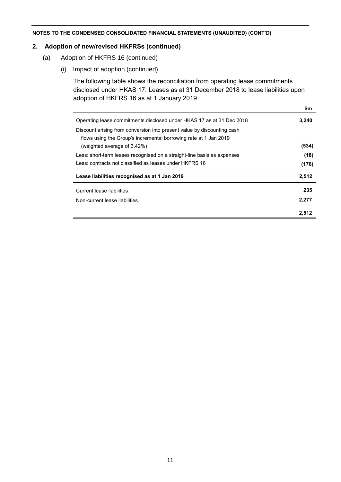## **2. Adoption of new/revised HKFRSs (continued)**

- (a) Adoption of HKFRS 16 (continued)
	- (i) Impact of adoption (continued)

The following table shows the reconciliation from operating lease commitments disclosed under HKAS 17: Leases as at 31 December 2018 to lease liabilities upon adoption of HKFRS 16 as at 1 January 2019.

|                                                                         | \$m   |
|-------------------------------------------------------------------------|-------|
| Operating lease commitments disclosed under HKAS 17 as at 31 Dec 2018   | 3,240 |
| Discount arising from conversion into present value by discounting cash |       |
| flows using the Group's incremental borrowing rate at 1 Jan 2019        |       |
| (weighted average of 3.42%)                                             | (534) |
| Less: short-term leases recognised on a straight-line basis as expenses | (18)  |
| Less: contracts not classified as leases under HKFRS 16                 | (176) |
| Lease liabilities recognised as at 1 Jan 2019                           | 2,512 |
| Current lease liabilities                                               | 235   |
| Non-current lease liabilities                                           | 2,277 |
|                                                                         | 2.512 |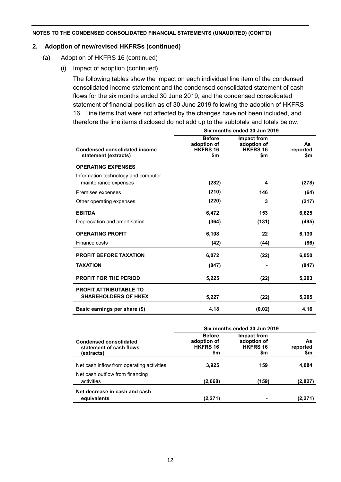## **2. Adoption of new/revised HKFRSs (continued)**

- (a) Adoption of HKFRS 16 (continued)
	- (i) Impact of adoption (continued)

The following tables show the impact on each individual line item of the condensed consolidated income statement and the condensed consolidated statement of cash flows for the six months ended 30 June 2019, and the condensed consolidated statement of financial position as of 30 June 2019 following the adoption of HKFRS 16. Line items that were not affected by the changes have not been included, and therefore the line items disclosed do not add up to the subtotals and totals below.

|                                                              | Six months ended 30 Jun 2019                           |                                                      |                       |  |  |  |  |
|--------------------------------------------------------------|--------------------------------------------------------|------------------------------------------------------|-----------------------|--|--|--|--|
| <b>Condensed consolidated income</b><br>statement (extracts) | <b>Before</b><br>adoption of<br><b>HKFRS 16</b><br>\$m | Impact from<br>adoption of<br><b>HKFRS 16</b><br>\$m | As<br>reported<br>\$m |  |  |  |  |
| <b>OPERATING EXPENSES</b>                                    |                                                        |                                                      |                       |  |  |  |  |
| Information technology and computer<br>maintenance expenses  | (282)                                                  | 4                                                    | (278)                 |  |  |  |  |
| Premises expenses                                            | (210)                                                  | 146                                                  | (64)                  |  |  |  |  |
| Other operating expenses                                     | (220)                                                  | 3                                                    | (217)                 |  |  |  |  |
| <b>EBITDA</b>                                                | 6,472                                                  | 153                                                  | 6,625                 |  |  |  |  |
| Depreciation and amortisation                                | (364)                                                  | (131)                                                | (495)                 |  |  |  |  |
| <b>OPERATING PROFIT</b>                                      | 6,108                                                  | 22                                                   | 6,130                 |  |  |  |  |
| Finance costs                                                | (42)                                                   | (44)                                                 | (86)                  |  |  |  |  |
| PROFIT BEFORE TAXATION                                       | 6,072                                                  | (22)                                                 | 6,050                 |  |  |  |  |
| <b>TAXATION</b>                                              | (847)                                                  |                                                      | (847)                 |  |  |  |  |
| <b>PROFIT FOR THE PERIOD</b>                                 | 5,225                                                  | (22)                                                 | 5,203                 |  |  |  |  |
| <b>PROFIT ATTRIBUTABLE TO</b><br><b>SHAREHOLDERS OF HKEX</b> | 5,227                                                  | (22)                                                 | 5,205                 |  |  |  |  |
| Basic earnings per share (\$)                                | 4.18                                                   | (0.02)                                               | 4.16                  |  |  |  |  |

|                                                                        | Six months ended 30 Jun 2019                           |                                                      |                        |  |  |  |  |
|------------------------------------------------------------------------|--------------------------------------------------------|------------------------------------------------------|------------------------|--|--|--|--|
| <b>Condensed consolidated</b><br>statement of cash flows<br>(extracts) | <b>Before</b><br>adoption of<br><b>HKFRS 16</b><br>\$m | Impact from<br>adoption of<br><b>HKFRS 16</b><br>\$m | As.<br>reported<br>\$m |  |  |  |  |
| Net cash inflow from operating activities                              | 3.925                                                  | 159                                                  | 4,084                  |  |  |  |  |
| Net cash outflow from financing<br>activities                          | (2,668)                                                | (159)                                                | (2,827)                |  |  |  |  |
| Net decrease in cash and cash<br>equivalents                           | (2,271)                                                |                                                      | (2,271)                |  |  |  |  |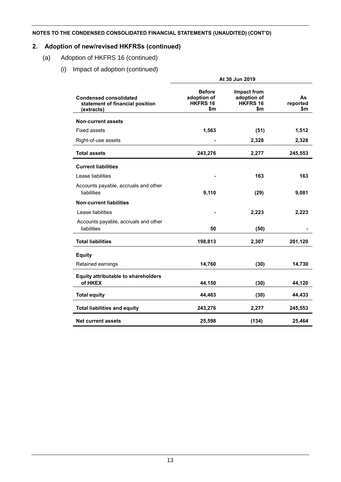## **2. Adoption of new/revised HKFRSs (continued)**

- (a) Adoption of HKFRS 16 (continued)
	- (i) Impact of adoption (continued)

|                                                                                | At 30 Jun 2019                                  |                                                      |                       |  |  |  |  |
|--------------------------------------------------------------------------------|-------------------------------------------------|------------------------------------------------------|-----------------------|--|--|--|--|
| <b>Condensed consolidated</b><br>statement of financial position<br>(extracts) | <b>Before</b><br>adoption of<br>HKFRS 16<br>\$m | <b>Impact from</b><br>adoption of<br>HKFRS 16<br>\$m | As<br>reported<br>\$m |  |  |  |  |
| <b>Non-current assets</b>                                                      |                                                 |                                                      |                       |  |  |  |  |
| <b>Fixed assets</b>                                                            | 1,563                                           | (51)                                                 | 1,512                 |  |  |  |  |
| Right-of-use assets                                                            |                                                 | 2,328                                                | 2,328                 |  |  |  |  |
| <b>Total assets</b>                                                            | 243,276                                         | 2,277                                                | 245,553               |  |  |  |  |
| <b>Current liabilities</b>                                                     |                                                 |                                                      |                       |  |  |  |  |
| Lease liabilities                                                              |                                                 | 163                                                  | 163                   |  |  |  |  |
| Accounts payable, accruals and other<br>liabilities                            | 9,110                                           | (29)                                                 | 9,081                 |  |  |  |  |
| <b>Non-current liabilities</b>                                                 |                                                 |                                                      |                       |  |  |  |  |
| Lease liabilities                                                              |                                                 | 2,223                                                | 2,223                 |  |  |  |  |
| Accounts payable, accruals and other<br>liabilities                            | 50                                              | (50)                                                 |                       |  |  |  |  |
| <b>Total liabilities</b>                                                       | 198,813                                         | 2,307                                                | 201,120               |  |  |  |  |
| <b>Equity</b>                                                                  |                                                 |                                                      |                       |  |  |  |  |
| Retained earnings                                                              | 14,760                                          | (30)                                                 | 14,730                |  |  |  |  |
| <b>Equity attributable to shareholders</b><br>of HKEX                          | 44,150                                          | (30)                                                 | 44,120                |  |  |  |  |
| <b>Total equity</b>                                                            | 44,463                                          | (30)                                                 | 44,433                |  |  |  |  |
| <b>Total liabilities and equity</b>                                            | 243,276                                         | 2,277                                                | 245,553               |  |  |  |  |
| Net current assets                                                             | 25,598                                          | (134)                                                | 25,464                |  |  |  |  |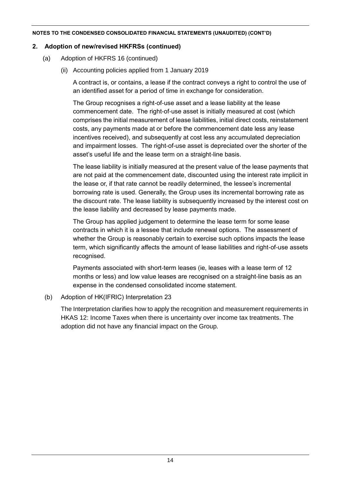## **2. Adoption of new/revised HKFRSs (continued)**

- (a) Adoption of HKFRS 16 (continued)
	- (ii) Accounting policies applied from 1 January 2019

A contract is, or contains, a lease if the contract conveys a right to control the use of an identified asset for a period of time in exchange for consideration.

The Group recognises a right-of-use asset and a lease liability at the lease commencement date. The right-of-use asset is initially measured at cost (which comprises the initial measurement of lease liabilities, initial direct costs, reinstatement costs, any payments made at or before the commencement date less any lease incentives received), and subsequently at cost less any accumulated depreciation and impairment losses. The right-of-use asset is depreciated over the shorter of the asset's useful life and the lease term on a straight-line basis.

The lease liability is initially measured at the present value of the lease payments that are not paid at the commencement date, discounted using the interest rate implicit in the lease or, if that rate cannot be readily determined, the lessee's incremental borrowing rate is used. Generally, the Group uses its incremental borrowing rate as the discount rate. The lease liability is subsequently increased by the interest cost on the lease liability and decreased by lease payments made.

The Group has applied judgement to determine the lease term for some lease contracts in which it is a lessee that include renewal options. The assessment of whether the Group is reasonably certain to exercise such options impacts the lease term, which significantly affects the amount of lease liabilities and right-of-use assets recognised.

Payments associated with short-term leases (ie, leases with a lease term of 12 months or less) and low value leases are recognised on a straight-line basis as an expense in the condensed consolidated income statement.

## (b) Adoption of HK(IFRIC) Interpretation 23

The Interpretation clarifies how to apply the recognition and measurement requirements in HKAS 12: Income Taxes when there is uncertainty over income tax treatments. The adoption did not have any financial impact on the Group.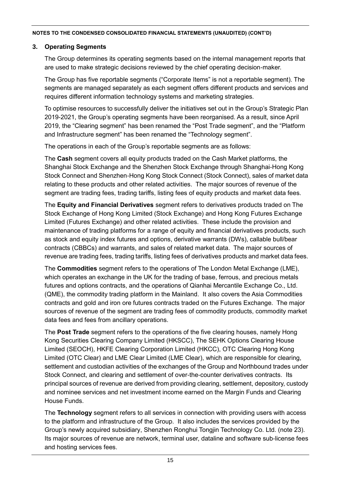## **3. Operating Segments**

The Group determines its operating segments based on the internal management reports that are used to make strategic decisions reviewed by the chief operating decision-maker.

The Group has five reportable segments ("Corporate Items" is not a reportable segment). The segments are managed separately as each segment offers different products and services and requires different information technology systems and marketing strategies.

To optimise resources to successfully deliver the initiatives set out in the Group's Strategic Plan 2019-2021, the Group's operating segments have been reorganised. As a result, since April 2019, the "Clearing segment" has been renamed the "Post Trade segment", and the "Platform and Infrastructure segment" has been renamed the "Technology segment".

The operations in each of the Group's reportable segments are as follows:

The **Cash** segment covers all equity products traded on the Cash Market platforms, the Shanghai Stock Exchange and the Shenzhen Stock Exchange through Shanghai-Hong Kong Stock Connect and Shenzhen-Hong Kong Stock Connect (Stock Connect), sales of market data relating to these products and other related activities. The major sources of revenue of the segment are trading fees, trading tariffs, listing fees of equity products and market data fees.

The **Equity and Financial Derivatives** segment refers to derivatives products traded on The Stock Exchange of Hong Kong Limited (Stock Exchange) and Hong Kong Futures Exchange Limited (Futures Exchange) and other related activities. These include the provision and maintenance of trading platforms for a range of equity and financial derivatives products, such as stock and equity index futures and options, derivative warrants (DWs), callable bull/bear contracts (CBBCs) and warrants, and sales of related market data. The major sources of revenue are trading fees, trading tariffs, listing fees of derivatives products and market data fees.

The **Commodities** segment refers to the operations of The London Metal Exchange (LME), which operates an exchange in the UK for the trading of base, ferrous, and precious metals futures and options contracts, and the operations of Qianhai Mercantile Exchange Co., Ltd. (QME), the commodity trading platform in the Mainland. It also covers the Asia Commodities contracts and gold and iron ore futures contracts traded on the Futures Exchange. The major sources of revenue of the segment are trading fees of commodity products, commodity market data fees and fees from ancillary operations.

The **Post Trade** segment refers to the operations of the five clearing houses, namely Hong Kong Securities Clearing Company Limited (HKSCC), The SEHK Options Clearing House Limited (SEOCH), HKFE Clearing Corporation Limited (HKCC), OTC Clearing Hong Kong Limited (OTC Clear) and LME Clear Limited (LME Clear), which are responsible for clearing, settlement and custodian activities of the exchanges of the Group and Northbound trades under Stock Connect, and clearing and settlement of over-the-counter derivatives contracts. Its principal sources of revenue are derived from providing clearing, settlement, depository, custody and nominee services and net investment income earned on the Margin Funds and Clearing House Funds.

The **Technology** segment refers to all services in connection with providing users with access to the platform and infrastructure of the Group. It also includes the services provided by the Group's newly acquired subsidiary, Shenzhen Ronghui Tongjin Technology Co. Ltd. (note 23). Its major sources of revenue are network, terminal user, dataline and software sub-license fees and hosting services fees.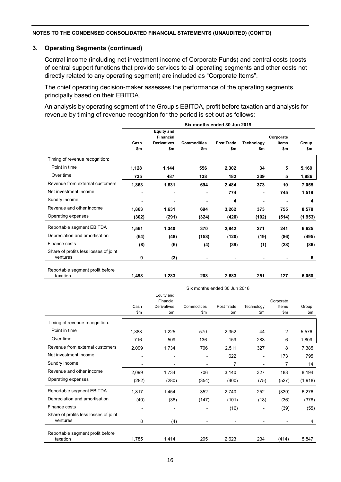#### **3. Operating Segments (continued)**

Central income (including net investment income of Corporate Funds) and central costs (costs of central support functions that provide services to all operating segments and other costs not directly related to any operating segment) are included as "Corporate Items".

The chief operating decision-maker assesses the performance of the operating segments principally based on their EBITDA.

An analysis by operating segment of the Group's EBITDA, profit before taxation and analysis for revenue by timing of revenue recognition for the period is set out as follows:

|                                              | Six months ended 30 Jun 2019 |                                       |                    |                   |                   |              |          |  |  |
|----------------------------------------------|------------------------------|---------------------------------------|--------------------|-------------------|-------------------|--------------|----------|--|--|
|                                              |                              | <b>Equity and</b><br><b>Financial</b> |                    |                   |                   | Corporate    |          |  |  |
|                                              | Cash                         | <b>Derivatives</b>                    | <b>Commodities</b> | <b>Post Trade</b> | <b>Technology</b> | <b>Items</b> | Group    |  |  |
|                                              | \$m                          | \$m                                   | \$m                | \$m               | \$m               | \$m          | \$m      |  |  |
| Timing of revenue recognition:               |                              |                                       |                    |                   |                   |              |          |  |  |
| Point in time                                | 1,128                        | 1,144                                 | 556                | 2,302             | 34                | 5            | 5,169    |  |  |
| Over time                                    | 735                          | 487                                   | 138                | 182               | 339               | 5            | 1,886    |  |  |
| Revenue from external customers              | 1,863                        | 1,631                                 | 694                | 2,484             | 373               | 10           | 7,055    |  |  |
| Net investment income                        |                              |                                       |                    | 774               | $\blacksquare$    | 745          | 1,519    |  |  |
| Sundry income                                |                              |                                       |                    | 4                 |                   |              | 4        |  |  |
| Revenue and other income                     | 1,863                        | 1,631                                 | 694                | 3,262             | 373               | 755          | 8,578    |  |  |
| Operating expenses                           | (302)                        | (291)                                 | (324)              | (420)             | (102)             | (514)        | (1, 953) |  |  |
| Reportable segment EBITDA                    | 1,561                        | 1,340                                 | 370                | 2,842             | 271               | 241          | 6,625    |  |  |
| Depreciation and amortisation                | (64)                         | (48)                                  | (158)              | (120)             | (19)              | (86)         | (495)    |  |  |
| Finance costs                                | (8)                          | (6)                                   | (4)                | (39)              | (1)               | (28)         | (86)     |  |  |
| Share of profits less losses of joint        |                              |                                       |                    |                   |                   |              |          |  |  |
| ventures                                     | 9                            | (3)                                   | $\blacksquare$     | $\blacksquare$    | $\blacksquare$    |              | 6        |  |  |
|                                              |                              |                                       |                    |                   |                   |              |          |  |  |
| Reportable segment profit before<br>taxation | 1,498                        | 1,283                                 | 208                | 2,683             | 251               | 127          | 6,050    |  |  |
|                                              |                              |                                       |                    |                   |                   |              |          |  |  |

|                                              | Six months ended 30 Jun 2018 |                         |             |            |            |           |          |  |  |
|----------------------------------------------|------------------------------|-------------------------|-------------|------------|------------|-----------|----------|--|--|
|                                              |                              | Equity and<br>Financial |             |            |            | Corporate |          |  |  |
|                                              | Cash                         | <b>Derivatives</b>      | Commodities | Post Trade | Technology | Items     | Group    |  |  |
|                                              | \$m                          | \$m                     | \$m         | \$m\$      | \$m        | \$m       | \$m\$    |  |  |
| Timing of revenue recognition:               |                              |                         |             |            |            |           |          |  |  |
| Point in time                                | 1,383                        | 1,225                   | 570         | 2,352      | 44         | 2         | 5,576    |  |  |
| Over time                                    | 716                          | 509                     | 136         | 159        | 283        | 6         | 1,809    |  |  |
| Revenue from external customers              | 2,099                        | 1,734                   | 706         | 2,511      | 327        | 8         | 7,385    |  |  |
| Net investment income                        |                              |                         |             | 622        |            | 173       | 795      |  |  |
| Sundry income                                |                              |                         |             | 7          |            | 7         | 14       |  |  |
| Revenue and other income                     | 2,099                        | 1,734                   | 706         | 3,140      | 327        | 188       | 8,194    |  |  |
| Operating expenses                           | (282)                        | (280)                   | (354)       | (400)      | (75)       | (527)     | (1, 918) |  |  |
| Reportable segment EBITDA                    | 1,817                        | 1,454                   | 352         | 2,740      | 252        | (339)     | 6,276    |  |  |
| Depreciation and amortisation                | (40)                         | (36)                    | (147)       | (101)      | (18)       | (36)      | (378)    |  |  |
| Finance costs                                |                              |                         |             | (16)       |            | (39)      | (55)     |  |  |
| Share of profits less losses of joint        |                              |                         |             |            |            |           |          |  |  |
| ventures                                     | 8                            | (4)                     |             |            |            |           | 4        |  |  |
|                                              |                              |                         |             |            |            |           |          |  |  |
| Reportable segment profit before<br>taxation | 1,785                        | 1,414                   | 205         | 2,623      | 234        | (414)     | 5,847    |  |  |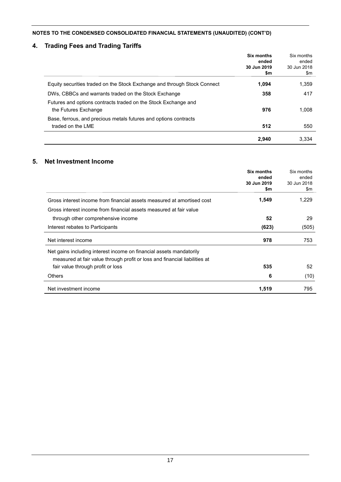## **4. Trading Fees and Trading Tariffs**

|                                                                                        | Six months<br>ended<br>30 Jun 2019<br>\$m | Six months<br>ended<br>30 Jun 2018<br>\$m |
|----------------------------------------------------------------------------------------|-------------------------------------------|-------------------------------------------|
| Equity securities traded on the Stock Exchange and through Stock Connect               | 1,094                                     | 1,359                                     |
| DWs, CBBCs and warrants traded on the Stock Exchange                                   | 358                                       | 417                                       |
| Futures and options contracts traded on the Stock Exchange and<br>the Futures Exchange | 976                                       | 1.008                                     |
| Base, ferrous, and precious metals futures and options contracts<br>traded on the LME  | 512                                       | 550                                       |
|                                                                                        | 2,940                                     | 3,334                                     |

## **5. Net Investment Income**

|                                                                            | Six months           | Six months           |
|----------------------------------------------------------------------------|----------------------|----------------------|
|                                                                            | ended<br>30 Jun 2019 | ended<br>30 Jun 2018 |
|                                                                            | \$m                  | \$m                  |
|                                                                            |                      |                      |
| Gross interest income from financial assets measured at amortised cost     | 1,549                | 1,229                |
| Gross interest income from financial assets measured at fair value         |                      |                      |
| through other comprehensive income                                         | 52                   | 29                   |
| Interest rebates to Participants                                           | (623)                | (505)                |
| Net interest income                                                        | 978                  | 753                  |
| Net gains including interest income on financial assets mandatorily        |                      |                      |
| measured at fair value through profit or loss and financial liabilities at |                      |                      |
| fair value through profit or loss                                          | 535                  | 52                   |
| Others                                                                     | 6                    | (10)                 |
| Net investment income                                                      | 1,519                | 795                  |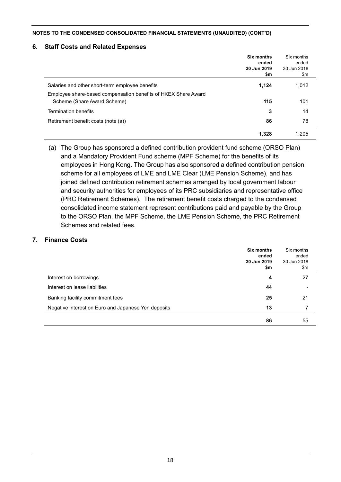### **6. Staff Costs and Related Expenses**

|                                                                | Six months<br>ended<br>30 Jun 2019<br>\$m | Six months<br>ended<br>30 Jun 2018<br>\$m |
|----------------------------------------------------------------|-------------------------------------------|-------------------------------------------|
| Salaries and other short-term employee benefits                | 1,124                                     | 1,012                                     |
| Employee share-based compensation benefits of HKEX Share Award |                                           |                                           |
| Scheme (Share Award Scheme)                                    | 115                                       | 101                                       |
| <b>Termination benefits</b>                                    | 3                                         | 14                                        |
| Retirement benefit costs (note (a))                            | 86                                        | 78                                        |
|                                                                | 1,328                                     | 1.205                                     |

(a) The Group has sponsored a defined contribution provident fund scheme (ORSO Plan) and a Mandatory Provident Fund scheme (MPF Scheme) for the benefits of its employees in Hong Kong. The Group has also sponsored a defined contribution pension scheme for all employees of LME and LME Clear (LME Pension Scheme), and has joined defined contribution retirement schemes arranged by local government labour and security authorities for employees of its PRC subsidiaries and representative office (PRC Retirement Schemes). The retirement benefit costs charged to the condensed consolidated income statement represent contributions paid and payable by the Group to the ORSO Plan, the MPF Scheme, the LME Pension Scheme, the PRC Retirement Schemes and related fees.

### **7. Finance Costs**

|                                                     | Six months<br>ended<br>30 Jun 2019<br>\$m | Six months<br>ended<br>30 Jun 2018<br>\$m |
|-----------------------------------------------------|-------------------------------------------|-------------------------------------------|
| Interest on borrowings                              | 4                                         | 27                                        |
| Interest on lease liabilities                       | 44                                        |                                           |
| Banking facility commitment fees                    | 25                                        | 21                                        |
| Negative interest on Euro and Japanese Yen deposits | 13                                        |                                           |
|                                                     | 86                                        | 55                                        |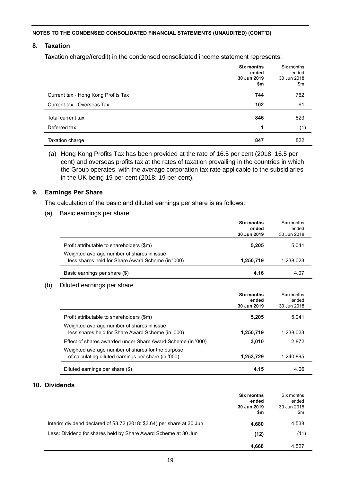## **8. Taxation**

Taxation charge/(credit) in the condensed consolidated income statement represents:

|                                     | <b>Six months</b><br>ended<br>30 Jun 2019<br>\$m | Six months<br>ended<br>30 Jun 2018<br>\$m |
|-------------------------------------|--------------------------------------------------|-------------------------------------------|
| Current tax - Hong Kong Profits Tax | 744                                              | 762                                       |
| Current tax - Overseas Tax          | 102                                              | 61                                        |
| Total current tax                   | 846                                              | 823                                       |
| Deferred tax                        | 1                                                | (1)                                       |
| Taxation charge                     | 847                                              | 822                                       |

(a) Hong Kong Profits Tax has been provided at the rate of 16.5 per cent (2018: 16.5 per cent) and overseas profits tax at the rates of taxation prevailing in the countries in which the Group operates, with the average corporation tax rate applicable to the subsidiaries in the UK being 19 per cent (2018: 19 per cent).

#### **9. Earnings Per Share**

The calculation of the basic and diluted earnings per share is as follows:

(a) Basic earnings per share

|                                                                                                 | Six months<br>ended<br>30 Jun 2019 | Six months<br>ended<br>30 Jun 2018 |
|-------------------------------------------------------------------------------------------------|------------------------------------|------------------------------------|
| Profit attributable to shareholders (\$m)                                                       | 5.205                              | 5.041                              |
| Weighted average number of shares in issue<br>less shares held for Share Award Scheme (in '000) | 1,250,719                          | 1,238,023                          |
| Basic earnings per share (\$)                                                                   | 4.16                               | 4.07                               |

#### (b) Diluted earnings per share

|                                                                                                          | Six months<br>ended<br>30 Jun 2019 | Six months<br>ended<br>30 Jun 2018 |
|----------------------------------------------------------------------------------------------------------|------------------------------------|------------------------------------|
| Profit attributable to shareholders (\$m)                                                                | 5.205                              | 5.041                              |
| Weighted average number of shares in issue<br>less shares held for Share Award Scheme (in '000)          | 1,250,719                          | 1,238,023                          |
| Effect of shares awarded under Share Award Scheme (in '000)                                              | 3,010                              | 2.872                              |
| Weighted average number of shares for the purpose<br>of calculating diluted earnings per share (in '000) | 1,253,729                          | 1.240.895                          |
| Diluted earnings per share (\$)                                                                          | 4.15                               | 4.06                               |

## **10. Dividends**

|                                                                        | <b>Six months</b><br>ended<br>30 Jun 2019<br>\$m | Six months<br>ended<br>30 Jun 2018<br>\$m |
|------------------------------------------------------------------------|--------------------------------------------------|-------------------------------------------|
| Interim dividend declared of \$3.72 (2018: \$3.64) per share at 30 Jun | 4.680                                            | 4,538                                     |
| Less: Dividend for shares held by Share Award Scheme at 30 Jun         | (12)                                             | (11)                                      |
|                                                                        | 4.668                                            | 4.527                                     |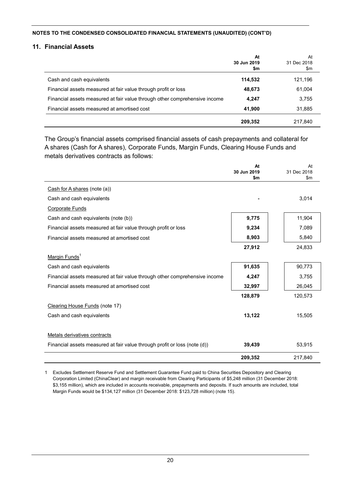#### **11. Financial Assets**

|                                                                            | At<br>30 Jun 2019<br>\$m | At<br>31 Dec 2018<br>\$m |
|----------------------------------------------------------------------------|--------------------------|--------------------------|
| Cash and cash equivalents                                                  | 114,532                  | 121,196                  |
| Financial assets measured at fair value through profit or loss             | 48,673                   | 61,004                   |
| Financial assets measured at fair value through other comprehensive income | 4,247                    | 3,755                    |
| Financial assets measured at amortised cost                                | 41,900                   | 31,885                   |
|                                                                            | 209,352                  | 217.840                  |

The Group's financial assets comprised financial assets of cash prepayments and collateral for A shares (Cash for A shares), Corporate Funds, Margin Funds, Clearing House Funds and metals derivatives contracts as follows:

|                                                                            | At<br>30 Jun 2019<br>\$m | At<br>31 Dec 2018<br>$\mathsf{Sm}$ |
|----------------------------------------------------------------------------|--------------------------|------------------------------------|
| Cash for A shares (note (a))                                               |                          |                                    |
| Cash and cash equivalents                                                  |                          | 3,014                              |
| <b>Corporate Funds</b>                                                     |                          |                                    |
| Cash and cash equivalents (note (b))                                       | 9,775                    | 11,904                             |
| Financial assets measured at fair value through profit or loss             | 9,234                    | 7,089                              |
| Financial assets measured at amortised cost                                | 8,903                    | 5,840                              |
|                                                                            | 27,912                   | 24,833                             |
| Margin Funds <sup>1</sup>                                                  |                          |                                    |
| Cash and cash equivalents                                                  | 91,635                   | 90,773                             |
| Financial assets measured at fair value through other comprehensive income | 4,247                    | 3,755                              |
| Financial assets measured at amortised cost                                | 32,997                   | 26,045                             |
|                                                                            | 128,879                  | 120,573                            |
| Clearing House Funds (note 17)                                             |                          |                                    |
| Cash and cash equivalents                                                  | 13,122                   | 15,505                             |
| Metals derivatives contracts                                               |                          |                                    |
| Financial assets measured at fair value through profit or loss (note (d))  | 39,439                   | 53,915                             |
|                                                                            | 209,352                  | 217,840                            |

1 Excludes Settlement Reserve Fund and Settlement Guarantee Fund paid to China Securities Depository and Clearing Corporation Limited (ChinaClear) and margin receivable from Clearing Participants of \$5,248 million (31 December 2018: \$3,155 million), which are included in accounts receivable, prepayments and deposits. If such amounts are included, total Margin Funds would be \$134,127 million (31 December 2018: \$123,728 million) (note 15).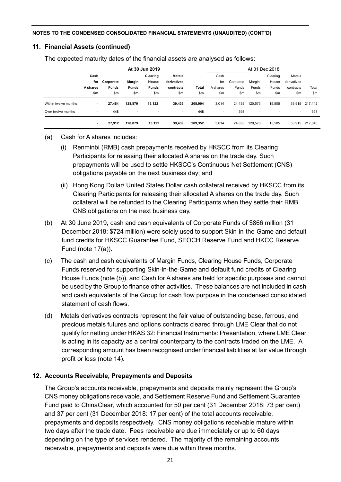## **11. Financial Assets (continued)**

The expected maturity dates of the financial assets are analysed as follows:

|                      | At 30 Jun 2019           |              |                |                          |               |         | At 31 Dec 2018           |           |                          |          |                          |         |
|----------------------|--------------------------|--------------|----------------|--------------------------|---------------|---------|--------------------------|-----------|--------------------------|----------|--------------------------|---------|
|                      | Cash                     |              |                | Clearing                 | <b>Metals</b> |         | Cash                     |           |                          | Clearing | Metals                   |         |
|                      | for                      | Corporate    | Margin         | House                    | derivatives   |         | for                      | Corporate | Margin                   | House    | derivatives              |         |
|                      | A shares                 | <b>Funds</b> | <b>Funds</b>   | <b>Funds</b>             | contracts     | Total   | A shares                 | Funds     | Funds                    | Funds    | contracts                | Total   |
|                      | \$m                      | \$m          | \$m            | \$m                      | \$m           | \$m     | \$m                      | \$m       | \$m                      | \$m      | \$m                      | \$m     |
| Within twelve months | $\overline{\phantom{a}}$ | 27,464       | 128,879        | 13.122                   | 39,439        | 208.904 | 3,014                    | 24,435    | 120,573                  | 15,505   | 53,915                   | 217,442 |
| Over twelve months   | $\overline{\phantom{a}}$ | 448          | $\blacksquare$ | $\overline{\phantom{a}}$ |               | 448     | $\overline{\phantom{a}}$ | 398       | $\overline{\phantom{a}}$ |          | $\overline{\phantom{a}}$ | 398     |
|                      | $\overline{\phantom{a}}$ | 27,912       | 128,879        | 13,122                   | 39,439        | 209,352 | 3,014                    | 24,833    | 120.573                  | 15,505   | 53,915                   | 217,840 |

## (a) Cash for A shares includes:

- (i) Renminbi (RMB) cash prepayments received by HKSCC from its Clearing Participants for releasing their allocated A shares on the trade day. Such prepayments will be used to settle HKSCC's Continuous Net Settlement (CNS) obligations payable on the next business day; and
- (ii) Hong Kong Dollar/ United States Dollar cash collateral received by HKSCC from its Clearing Participants for releasing their allocated A shares on the trade day. Such collateral will be refunded to the Clearing Participants when they settle their RMB CNS obligations on the next business day.
- (b) At 30 June 2019, cash and cash equivalents of Corporate Funds of \$866 million (31 December 2018: \$724 million) were solely used to support Skin-in-the-Game and default fund credits for HKSCC Guarantee Fund, SEOCH Reserve Fund and HKCC Reserve Fund (note 17(a)).
- (c) The cash and cash equivalents of Margin Funds, Clearing House Funds, Corporate Funds reserved for supporting Skin-in-the-Game and default fund credits of Clearing House Funds (note (b)), and Cash for A shares are held for specific purposes and cannot be used by the Group to finance other activities. These balances are not included in cash and cash equivalents of the Group for cash flow purpose in the condensed consolidated statement of cash flows.
- (d) Metals derivatives contracts represent the fair value of outstanding base, ferrous, and precious metals futures and options contracts cleared through LME Clear that do not qualify for netting under HKAS 32: Financial Instruments: Presentation, where LME Clear is acting in its capacity as a central counterparty to the contracts traded on the LME. A corresponding amount has been recognised under financial liabilities at fair value through profit or loss (note 14).

## **12. Accounts Receivable, Prepayments and Deposits**

The Group's accounts receivable, prepayments and deposits mainly represent the Group's CNS money obligations receivable, and Settlement Reserve Fund and Settlement Guarantee Fund paid to ChinaClear, which accounted for 50 per cent (31 December 2018: 73 per cent) and 37 per cent (31 December 2018: 17 per cent) of the total accounts receivable, prepayments and deposits respectively. CNS money obligations receivable mature within two days after the trade date. Fees receivable are due immediately or up to 60 days depending on the type of services rendered. The majority of the remaining accounts receivable, prepayments and deposits were due within three months.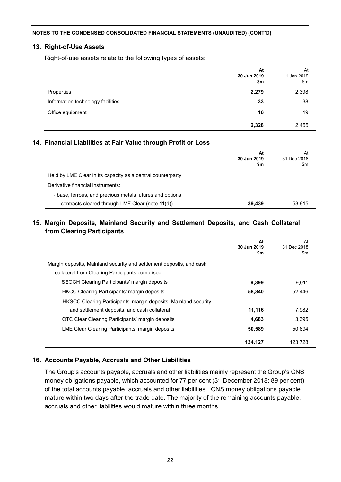#### **13. Right-of-Use Assets**

Right-of-use assets relate to the following types of assets:

|                                   | At<br>30 Jun 2019<br>\$m | At<br>1 Jan 2019<br>\$m |
|-----------------------------------|--------------------------|-------------------------|
| Properties                        | 2,279                    | 2,398                   |
| Information technology facilities | 33                       | 38                      |
| Office equipment                  | 16                       | 19                      |
|                                   | 2,328                    | 2,455                   |

### **14. Financial Liabilities at Fair Value through Profit or Loss**

|                                                             | At<br>30 Jun 2019<br>\$m | At<br>31 Dec 2018<br>\$m |
|-------------------------------------------------------------|--------------------------|--------------------------|
| Held by LME Clear in its capacity as a central counterparty |                          |                          |
| Derivative financial instruments:                           |                          |                          |
| - base, ferrous, and precious metals futures and options    |                          |                          |
| contracts cleared through LME Clear (note 11(d))            | 39.439                   | 53.915                   |

## **15. Margin Deposits, Mainland Security and Settlement Deposits, and Cash Collateral from Clearing Participants**

|                                                                      | At<br>30 Jun 2019<br>\$m | At<br>31 Dec 2018<br>\$m |
|----------------------------------------------------------------------|--------------------------|--------------------------|
| Margin deposits, Mainland security and settlement deposits, and cash |                          |                          |
| collateral from Clearing Participants comprised:                     |                          |                          |
| SEOCH Clearing Participants' margin deposits                         | 9,399                    | 9,011                    |
| <b>HKCC Clearing Participants' margin deposits</b>                   | 58,340                   | 52,446                   |
| HKSCC Clearing Participants' margin deposits, Mainland security      |                          |                          |
| and settlement deposits, and cash collateral                         | 11,116                   | 7.982                    |
| OTC Clear Clearing Participants' margin deposits                     | 4,683                    | 3.395                    |
| LME Clear Clearing Participants' margin deposits                     | 50,589                   | 50.894                   |
|                                                                      | 134,127                  | 123.728                  |

## **16. Accounts Payable, Accruals and Other Liabilities**

The Group's accounts payable, accruals and other liabilities mainly represent the Group's CNS money obligations payable, which accounted for 77 per cent (31 December 2018: 89 per cent) of the total accounts payable, accruals and other liabilities. CNS money obligations payable mature within two days after the trade date. The majority of the remaining accounts payable, accruals and other liabilities would mature within three months.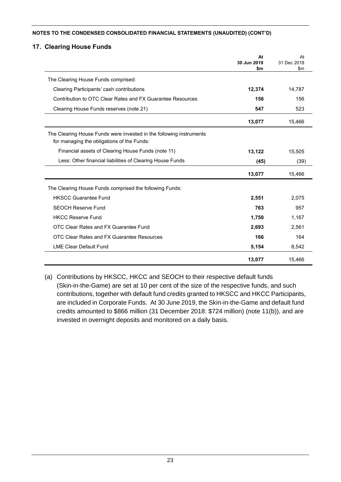### **17. Clearing House Funds**

|                                                                                                                   | At<br>30 Jun 2019 | At<br>31 Dec 2018 |
|-------------------------------------------------------------------------------------------------------------------|-------------------|-------------------|
|                                                                                                                   | \$m               | $\mathsf{sm}$     |
| The Clearing House Funds comprised:                                                                               |                   |                   |
| Clearing Participants' cash contributions                                                                         | 12,374            | 14,787            |
| Contribution to OTC Clear Rates and FX Guarantee Resources                                                        | 156               | 156               |
| Clearing House Funds reserves (note 21)                                                                           | 547               | 523               |
|                                                                                                                   | 13,077            | 15,466            |
| The Clearing House Funds were invested in the following instruments<br>for managing the obligations of the Funds: |                   |                   |
| Financial assets of Clearing House Funds (note 11)                                                                | 13,122            | 15,505            |
| Less: Other financial liabilities of Clearing House Funds                                                         | (45)              | (39)              |
|                                                                                                                   | 13,077            | 15,466            |
| The Clearing House Funds comprised the following Funds:                                                           |                   |                   |
| <b>HKSCC Guarantee Fund</b>                                                                                       | 2,551             | 2,075             |
| <b>SEOCH Reserve Fund</b>                                                                                         | 763               | 957               |
| <b>HKCC Reserve Fund</b>                                                                                          | 1,750             | 1,167             |
| OTC Clear Rates and FX Guarantee Fund                                                                             | 2,693             | 2,561             |
| OTC Clear Rates and FX Guarantee Resources                                                                        | 166               | 164               |
| <b>LME Clear Default Fund</b>                                                                                     | 5,154             | 8,542             |
|                                                                                                                   | 13,077            | 15,466            |

(a) Contributions by HKSCC, HKCC and SEOCH to their respective default funds (Skin-in-the-Game) are set at 10 per cent of the size of the respective funds, and such contributions, together with default fund credits granted to HKSCC and HKCC Participants, are included in Corporate Funds. At 30 June 2019, the Skin-in-the-Game and default fund credits amounted to \$866 million (31 December 2018: \$724 million) (note 11(b)), and are invested in overnight deposits and monitored on a daily basis.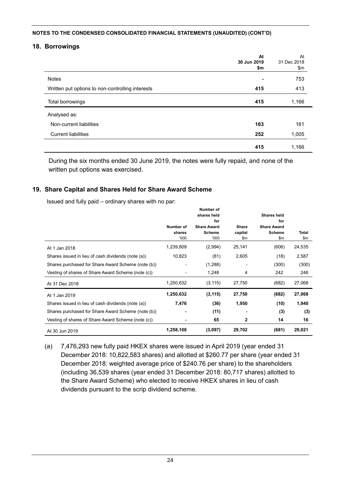#### **18. Borrowings**

|                                                  | At<br>30 Jun 2019<br>\$m | At<br>31 Dec 2018<br>\$m |
|--------------------------------------------------|--------------------------|--------------------------|
| <b>Notes</b>                                     | $\blacksquare$           | 753                      |
| Written put options to non-controlling interests | 415                      | 413                      |
| Total borrowings                                 | 415                      | 1,166                    |
| Analysed as:                                     |                          |                          |
| Non-current liabilities                          | 163                      | 161                      |
| <b>Current liabilities</b>                       | 252                      | 1,005                    |
|                                                  | 415                      | 1,166                    |

During the six months ended 30 June 2019, the notes were fully repaid, and none of the written put options was exercised.

#### **19. Share Capital and Shares Held for Share Award Scheme**

Issued and fully paid – ordinary shares with no par:

|                                                    |                             | Number of<br>shares held                           |                         | Shares held                                       |                     |
|----------------------------------------------------|-----------------------------|----------------------------------------------------|-------------------------|---------------------------------------------------|---------------------|
|                                                    | Number of<br>shares<br>000' | for<br><b>Share Award</b><br><b>Scheme</b><br>'000 | Share<br>capital<br>\$m | for<br><b>Share Award</b><br><b>Scheme</b><br>\$m | <b>Total</b><br>\$m |
| At 1 Jan 2018                                      | 1,239,809                   | (2,994)                                            | 25,141                  | (606)                                             | 24,535              |
| Shares issued in lieu of cash dividends (note (a)) | 10,823                      | (81)                                               | 2,605                   | (18)                                              | 2,587               |
| Shares purchased for Share Award Scheme (note (b)) |                             | (1,288)                                            |                         | (300)                                             | (300)               |
| Vesting of shares of Share Award Scheme (note (c)) |                             | 1,248                                              | 4                       | 242                                               | 246                 |
| At 31 Dec 2018                                     | 1,250,632                   | (3, 115)                                           | 27,750                  | (682)                                             | 27,068              |
| At 1 Jan 2019                                      | 1,250,632                   | (3, 115)                                           | 27,750                  | (682)                                             | 27,068              |
| Shares issued in lieu of cash dividends (note (a)) | 7,476                       | (36)                                               | 1,950                   | (10)                                              | 1,940               |
| Shares purchased for Share Award Scheme (note (b)) |                             | (11)                                               |                         | (3)                                               | (3)                 |
| Vesting of shares of Share Award Scheme (note (c)) | ٠                           | 65                                                 | 2                       | 14                                                | 16                  |
| At 30 Jun 2019                                     | 1,258,108                   | (3,097)                                            | 29,702                  | (681)                                             | 29,021              |

(a) 7,476,293 new fully paid HKEX shares were issued in April 2019 (year ended 31 December 2018: 10,822,583 shares) and allotted at \$260.77 per share (year ended 31 December 2018: weighted average price of \$240.76 per share) to the shareholders (including 36,539 shares (year ended 31 December 2018: 80,717 shares) allotted to the Share Award Scheme) who elected to receive HKEX shares in lieu of cash dividends pursuant to the scrip dividend scheme.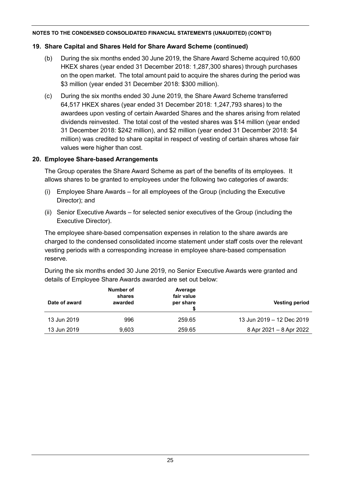## **19. Share Capital and Shares Held for Share Award Scheme (continued)**

- (b) During the six months ended 30 June 2019, the Share Award Scheme acquired 10,600 HKEX shares (year ended 31 December 2018: 1,287,300 shares) through purchases on the open market. The total amount paid to acquire the shares during the period was \$3 million (year ended 31 December 2018: \$300 million).
- (c) During the six months ended 30 June 2019, the Share Award Scheme transferred 64,517 HKEX shares (year ended 31 December 2018: 1,247,793 shares) to the awardees upon vesting of certain Awarded Shares and the shares arising from related dividends reinvested. The total cost of the vested shares was \$14 million (year ended 31 December 2018: \$242 million), and \$2 million (year ended 31 December 2018: \$4 million) was credited to share capital in respect of vesting of certain shares whose fair values were higher than cost.

## **20. Employee Share-based Arrangements**

The Group operates the Share Award Scheme as part of the benefits of its employees. It allows shares to be granted to employees under the following two categories of awards:

- (i) Employee Share Awards for all employees of the Group (including the Executive Director); and
- (ii) Senior Executive Awards for selected senior executives of the Group (including the Executive Director).

The employee share-based compensation expenses in relation to the share awards are charged to the condensed consolidated income statement under staff costs over the relevant vesting periods with a corresponding increase in employee share-based compensation reserve.

During the six months ended 30 June 2019, no Senior Executive Awards were granted and details of Employee Share Awards awarded are set out below:

| Date of award | Number of<br>shares<br>awarded | Average<br>fair value<br>per share | <b>Vesting period</b>     |
|---------------|--------------------------------|------------------------------------|---------------------------|
| 13 Jun 2019   | 996                            | 259.65                             | 13 Jun 2019 - 12 Dec 2019 |
| 13 Jun 2019   | 9.603                          | 259.65                             | 8 Apr 2021 - 8 Apr 2022   |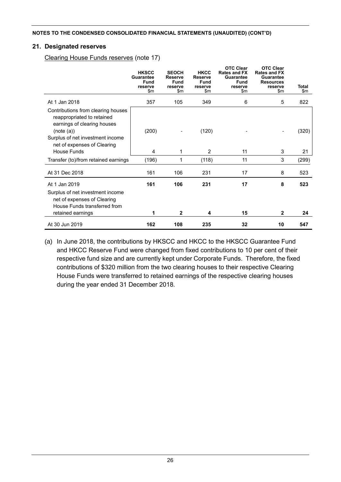### **21. Designated reserves**

Clearing House Funds reserves (note 17)

|                                                                                                                                                                                  | <b>HKSCC</b><br><b>Guarantee</b><br><b>Fund</b><br>reserve<br>\$m | <b>SEOCH</b><br><b>Reserve</b><br>Fund<br>reserve<br>\$m | <b>HKCC</b><br><b>Reserve</b><br>Fund<br>reserve<br>\$m | <b>OTC Clear</b><br><b>Rates and FX</b><br>Guarantee<br><b>Fund</b><br>reserve<br>\$m | <b>OTC Clear</b><br><b>Rates and FX</b><br>Guarantee<br><b>Resources</b><br>reserve<br>\$m | <b>Total</b><br>\$m |
|----------------------------------------------------------------------------------------------------------------------------------------------------------------------------------|-------------------------------------------------------------------|----------------------------------------------------------|---------------------------------------------------------|---------------------------------------------------------------------------------------|--------------------------------------------------------------------------------------------|---------------------|
| At 1 Jan 2018                                                                                                                                                                    | 357                                                               | 105                                                      | 349                                                     | 6                                                                                     | 5                                                                                          | 822                 |
| Contributions from clearing houses<br>reappropriated to retained<br>earnings of clearing houses<br>(note (a))<br>Surplus of net investment income<br>net of expenses of Clearing | (200)                                                             |                                                          | (120)                                                   |                                                                                       |                                                                                            | (320)               |
| House Funds                                                                                                                                                                      | 4                                                                 | 1                                                        | 2                                                       | 11                                                                                    | 3                                                                                          | 21                  |
| Transfer (to)/from retained earnings                                                                                                                                             | (196)                                                             | 1                                                        | (118)                                                   | 11                                                                                    | 3                                                                                          | (299)               |
| At 31 Dec 2018                                                                                                                                                                   | 161                                                               | 106                                                      | 231                                                     | 17                                                                                    | 8                                                                                          | 523                 |
| At 1 Jan 2019<br>Surplus of net investment income<br>net of expenses of Clearing<br>House Funds transferred from<br>retained earnings                                            | 161<br>1                                                          | 106<br>$\mathbf{2}$                                      | 231<br>4                                                | 17<br>15                                                                              | 8<br>$\mathbf{2}$                                                                          | 523<br>24           |
| At 30 Jun 2019                                                                                                                                                                   | 162                                                               | 108                                                      | 235                                                     | 32                                                                                    | 10                                                                                         | 547                 |

(a) In June 2018, the contributions by HKSCC and HKCC to the HKSCC Guarantee Fund and HKCC Reserve Fund were changed from fixed contributions to 10 per cent of their respective fund size and are currently kept under Corporate Funds. Therefore, the fixed contributions of \$320 million from the two clearing houses to their respective Clearing House Funds were transferred to retained earnings of the respective clearing houses during the year ended 31 December 2018.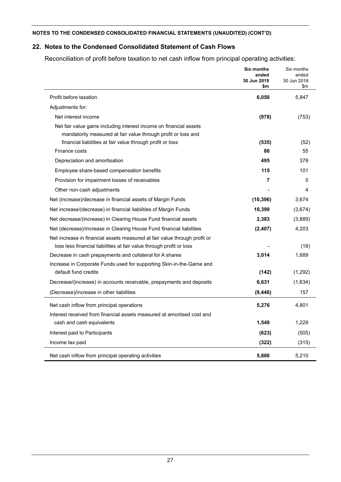## **22. Notes to the Condensed Consolidated Statement of Cash Flows**

Reconciliation of profit before taxation to net cash inflow from principal operating activities:

|                                                                                                                                                   | <b>Six months</b><br>ended<br>30 Jun 2019<br>\$m | Six months<br>ended<br>30 Jun 2018<br>\$m |
|---------------------------------------------------------------------------------------------------------------------------------------------------|--------------------------------------------------|-------------------------------------------|
| Profit before taxation                                                                                                                            | 6,050                                            | 5,847                                     |
| Adjustments for:                                                                                                                                  |                                                  |                                           |
| Net interest income                                                                                                                               | (978)                                            | (753)                                     |
| Net fair value gains including interest income on financial assets<br>mandatorily measured at fair value through profit or loss and               |                                                  |                                           |
| financial liabilities at fair value through profit or loss                                                                                        | (535)                                            | (52)                                      |
| Finance costs                                                                                                                                     | 86                                               | 55                                        |
| Depreciation and amortisation                                                                                                                     | 495                                              | 378                                       |
| Employee share-based compensation benefits                                                                                                        | 115                                              | 101                                       |
| Provision for impairment losses of receivables                                                                                                    | 7                                                | 5                                         |
| Other non-cash adjustments                                                                                                                        |                                                  | 4                                         |
| Net (increase)/decrease in financial assets of Margin Funds                                                                                       | (10, 396)                                        | 3,674                                     |
| Net increase/(decrease) in financial liabilities of Margin Funds                                                                                  | 10,399                                           | (3,674)                                   |
| Net decrease/(increase) in Clearing House Fund financial assets                                                                                   | 2,383                                            | (3,889)                                   |
| Net (decrease)/increase in Clearing House Fund financial liabilities                                                                              | (2, 407)                                         | 4,203                                     |
| Net increase in financial assets measured at fair value through profit or<br>loss less financial liabilities at fair value through profit or loss |                                                  | (18)                                      |
| Decrease in cash prepayments and collateral for A shares                                                                                          | 3,014                                            | 1,689                                     |
| Increase in Corporate Funds used for supporting Skin-in-the-Game and<br>default fund credits                                                      | (142)                                            | (1, 292)                                  |
| Decrease/(increase) in accounts receivable, prepayments and deposits                                                                              | 6,631                                            | (1,634)                                   |
| (Decrease)/increase in other liabilities                                                                                                          | (9, 446)                                         | 157                                       |
| Net cash inflow from principal operations                                                                                                         | 5,276                                            | 4,801                                     |
| Interest received from financial assets measured at amortised cost and                                                                            |                                                  |                                           |
| cash and cash equivalents                                                                                                                         | 1,549                                            | 1,229                                     |
| Interest paid to Participants                                                                                                                     | (623)                                            | (505)                                     |
| Income tax paid                                                                                                                                   | (322)                                            | (315)                                     |
| Net cash inflow from principal operating activities                                                                                               | 5,880                                            | 5,210                                     |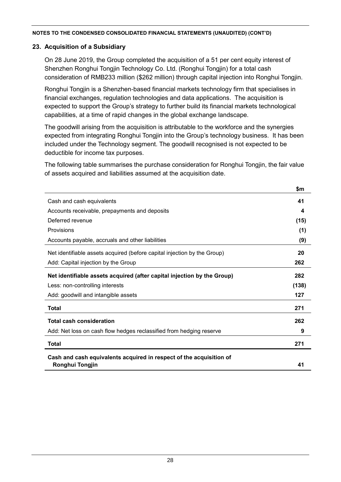### **23. Acquisition of a Subsidiary**

On 28 June 2019, the Group completed the acquisition of a 51 per cent equity interest of Shenzhen Ronghui Tongjin Technology Co. Ltd. (Ronghui Tongjin) for a total cash consideration of RMB233 million (\$262 million) through capital injection into Ronghui Tongjin.

Ronghui Tongjin is a Shenzhen-based financial markets technology firm that specialises in financial exchanges, regulation technologies and data applications. The acquisition is expected to support the Group's strategy to further build its financial markets technological capabilities, at a time of rapid changes in the global exchange landscape.

The goodwill arising from the acquisition is attributable to the workforce and the synergies expected from integrating Ronghui Tongjin into the Group's technology business. It has been included under the Technology segment. The goodwill recognised is not expected to be deductible for income tax purposes.

The following table summarises the purchase consideration for Ronghui Tongjin, the fair value of assets acquired and liabilities assumed at the acquisition date.

|                                                                          | \$m   |
|--------------------------------------------------------------------------|-------|
| Cash and cash equivalents                                                | 41    |
| Accounts receivable, prepayments and deposits                            | 4     |
| Deferred revenue                                                         | (15)  |
| Provisions                                                               | (1)   |
| Accounts payable, accruals and other liabilities                         | (9)   |
| Net identifiable assets acquired (before capital injection by the Group) | 20    |
| Add: Capital injection by the Group                                      | 262   |
| Net identifiable assets acquired (after capital injection by the Group)  | 282   |
| Less: non-controlling interests                                          | (138) |
| Add: goodwill and intangible assets                                      | 127   |
| <b>Total</b>                                                             | 271   |
| <b>Total cash consideration</b>                                          | 262   |
| Add: Net loss on cash flow hedges reclassified from hedging reserve      | 9     |
| <b>Total</b>                                                             | 271   |
| Cash and cash equivalents acquired in respect of the acquisition of      |       |
| Ronghui Tongjin                                                          | 41    |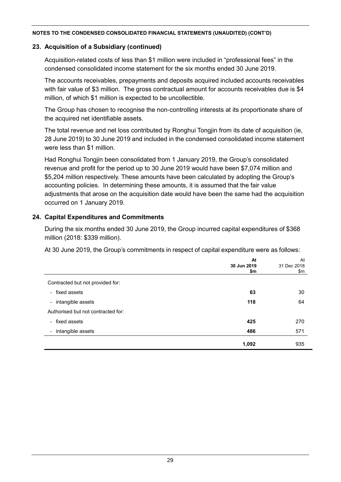### **23. Acquisition of a Subsidiary (continued)**

Acquisition-related costs of less than \$1 million were included in "professional fees" in the condensed consolidated income statement for the six months ended 30 June 2019.

The accounts receivables, prepayments and deposits acquired included accounts receivables with fair value of \$3 million. The gross contractual amount for accounts receivables due is \$4 million, of which \$1 million is expected to be uncollectible.

The Group has chosen to recognise the non-controlling interests at its proportionate share of the acquired net identifiable assets.

The total revenue and net loss contributed by Ronghui Tongjin from its date of acquisition (ie, 28 June 2019) to 30 June 2019 and included in the condensed consolidated income statement were less than \$1 million.

Had Ronghui Tongjin been consolidated from 1 January 2019, the Group's consolidated revenue and profit for the period up to 30 June 2019 would have been \$7,074 million and \$5,204 million respectively. These amounts have been calculated by adopting the Group's accounting policies. In determining these amounts, it is assumed that the fair value adjustments that arose on the acquisition date would have been the same had the acquisition occurred on 1 January 2019.

## **24. Capital Expenditures and Commitments**

During the six months ended 30 June 2019, the Group incurred capital expenditures of \$368 million (2018: \$339 million).

At 30 June 2019, the Group's commitments in respect of capital expenditure were as follows:

|                                    | At          | At          |
|------------------------------------|-------------|-------------|
|                                    | 30 Jun 2019 | 31 Dec 2018 |
|                                    | \$m         | \$m         |
| Contracted but not provided for:   |             |             |
| - fixed assets                     | 63          | 30          |
| - intangible assets                | 118         | 64          |
| Authorised but not contracted for: |             |             |
| - fixed assets                     | 425         | 270         |
| - intangible assets                | 486         | 571         |
|                                    | 1,092       | 935         |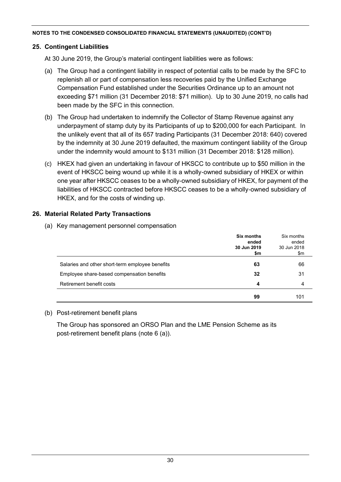## **25. Contingent Liabilities**

At 30 June 2019, the Group's material contingent liabilities were as follows:

- (a) The Group had a contingent liability in respect of potential calls to be made by the SFC to replenish all or part of compensation less recoveries paid by the Unified Exchange Compensation Fund established under the Securities Ordinance up to an amount not exceeding \$71 million (31 December 2018: \$71 million). Up to 30 June 2019, no calls had been made by the SFC in this connection.
- (b) The Group had undertaken to indemnify the Collector of Stamp Revenue against any underpayment of stamp duty by its Participants of up to \$200,000 for each Participant. In the unlikely event that all of its 657 trading Participants (31 December 2018: 640) covered by the indemnity at 30 June 2019 defaulted, the maximum contingent liability of the Group under the indemnity would amount to \$131 million (31 December 2018: \$128 million).
- (c) HKEX had given an undertaking in favour of HKSCC to contribute up to \$50 million in the event of HKSCC being wound up while it is a wholly-owned subsidiary of HKEX or within one year after HKSCC ceases to be a wholly-owned subsidiary of HKEX, for payment of the liabilities of HKSCC contracted before HKSCC ceases to be a wholly-owned subsidiary of HKEX, and for the costs of winding up.

## **26. Material Related Party Transactions**

(a) Key management personnel compensation

|                                                 | <b>Six months</b><br>ended<br>30 Jun 2019<br>\$m | Six months<br>ended<br>30 Jun 2018<br>\$m |
|-------------------------------------------------|--------------------------------------------------|-------------------------------------------|
| Salaries and other short-term employee benefits | 63                                               | 66                                        |
| Employee share-based compensation benefits      | 32                                               | 31                                        |
| Retirement benefit costs                        | 4                                                | 4                                         |
|                                                 | 99                                               | 101                                       |

## (b) Post-retirement benefit plans

The Group has sponsored an ORSO Plan and the LME Pension Scheme as its post-retirement benefit plans (note 6 (a)).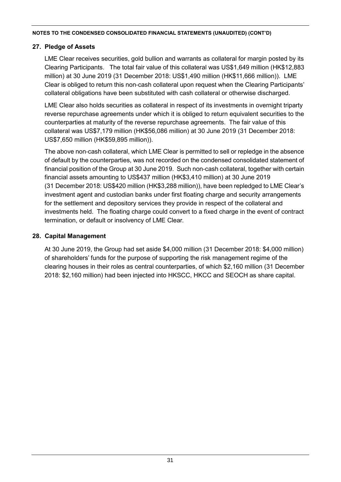## **27. Pledge of Assets**

LME Clear receives securities, gold bullion and warrants as collateral for margin posted by its Clearing Participants. The total fair value of this collateral was US\$1,649 million (HK\$12,883 million) at 30 June 2019 (31 December 2018: US\$1,490 million (HK\$11,666 million)). LME Clear is obliged to return this non-cash collateral upon request when the Clearing Participants' collateral obligations have been substituted with cash collateral or otherwise discharged.

LME Clear also holds securities as collateral in respect of its investments in overnight triparty reverse repurchase agreements under which it is obliged to return equivalent securities to the counterparties at maturity of the reverse repurchase agreements. The fair value of this collateral was US\$7,179 million (HK\$56,086 million) at 30 June 2019 (31 December 2018: US\$7,650 million (HK\$59,895 million)).

The above non-cash collateral, which LME Clear is permitted to sell or repledge in the absence of default by the counterparties, was not recorded on the condensed consolidated statement of financial position of the Group at 30 June 2019. Such non-cash collateral, together with certain financial assets amounting to US\$437 million (HK\$3,410 million) at 30 June 2019 (31 December 2018: US\$420 million (HK\$3,288 million)), have been repledged to LME Clear's investment agent and custodian banks under first floating charge and security arrangements for the settlement and depository services they provide in respect of the collateral and investments held. The floating charge could convert to a fixed charge in the event of contract termination, or default or insolvency of LME Clear.

### **28. Capital Management**

At 30 June 2019, the Group had set aside \$4,000 million (31 December 2018: \$4,000 million) of shareholders' funds for the purpose of supporting the risk management regime of the clearing houses in their roles as central counterparties, of which \$2,160 million (31 December 2018: \$2,160 million) had been injected into HKSCC, HKCC and SEOCH as share capital.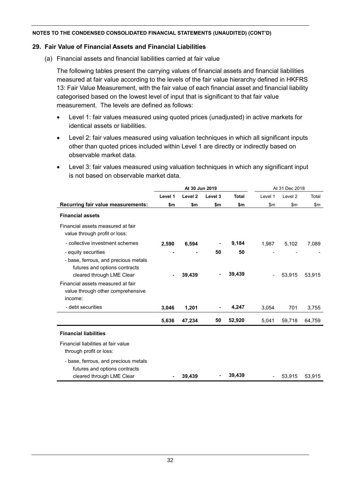### **29. Fair Value of Financial Assets and Financial Liabilities**

(a) Financial assets and financial liabilities carried at fair value

The following tables present the carrying values of financial assets and financial liabilities measured at fair value according to the levels of the fair value hierarchy defined in HKFRS 13: Fair Value Measurement, with the fair value of each financial asset and financial liability categorised based on the lowest level of input that is significant to that fair value measurement. The levels are defined as follows:

- Level 1: fair values measured using quoted prices (unadjusted) in active markets for identical assets or liabilities.
- Level 2: fair values measured using valuation techniques in which all significant inputs other than quoted prices included within Level 1 are directly or indirectly based on observable market data.
- Level 3: fair values measured using valuation techniques in which any significant input is not based on observable market data.

|                                                                       | At 30 Jun 2019 |                    |         | At 31 Dec 2018 |         |                    |        |
|-----------------------------------------------------------------------|----------------|--------------------|---------|----------------|---------|--------------------|--------|
|                                                                       | Level 1        | Level <sub>2</sub> | Level 3 | <b>Total</b>   | Level 1 | Level <sub>2</sub> | Total  |
| Recurring fair value measurements:                                    | \$m            | \$m                | \$m     | \$m            | \$m\$   | \$m\$              | \$m\$  |
| <b>Financial assets</b>                                               |                |                    |         |                |         |                    |        |
| Financial assets measured at fair<br>value through profit or loss:    |                |                    |         |                |         |                    |        |
| - collective investment schemes                                       | 2,590          | 6,594              |         | 9,184          | 1,987   | 5,102              | 7,089  |
| - equity securities                                                   |                |                    | 50      | 50             |         |                    |        |
| - base, ferrous, and precious metals<br>futures and options contracts |                |                    |         |                |         |                    |        |
| cleared through LME Clear                                             | $\blacksquare$ | 39,439             |         | 39,439         |         | 53,915             | 53,915 |
| Financial assets measured at fair                                     |                |                    |         |                |         |                    |        |
| value through other comprehensive                                     |                |                    |         |                |         |                    |        |
| income:                                                               |                |                    |         |                |         |                    |        |
| - debt securities                                                     | 3,046          | 1,201              |         | 4,247          | 3,054   | 701                | 3,755  |
|                                                                       | 5,636          | 47,234             | 50      | 52,920         | 5,041   | 59,718             | 64,759 |
| <b>Financial liabilities</b>                                          |                |                    |         |                |         |                    |        |
| Financial liabilities at fair value<br>through profit or loss:        |                |                    |         |                |         |                    |        |
| - base, ferrous, and precious metals<br>futures and options contracts |                |                    |         |                |         |                    |        |
| cleared through LME Clear                                             |                | 39,439             |         | 39,439         |         | 53,915             | 53,915 |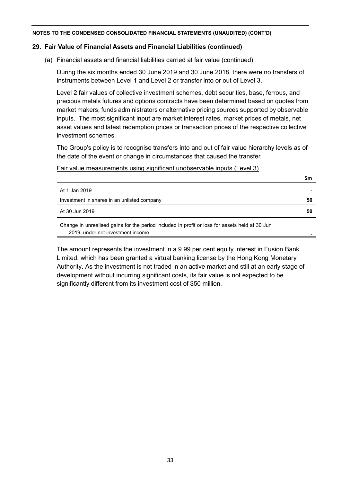### **29. Fair Value of Financial Assets and Financial Liabilities (continued)**

(a) Financial assets and financial liabilities carried at fair value (continued)

During the six months ended 30 June 2019 and 30 June 2018, there were no transfers of instruments between Level 1 and Level 2 or transfer into or out of Level 3.

Level 2 fair values of collective investment schemes, debt securities, base, ferrous, and precious metals futures and options contracts have been determined based on quotes from market makers, funds administrators or alternative pricing sources supported by observable inputs. The most significant input are market interest rates, market prices of metals, net asset values and latest redemption prices or transaction prices of the respective collective investment schemes.

The Group's policy is to recognise transfers into and out of fair value hierarchy levels as of the date of the event or change in circumstances that caused the transfer.

#### Fair value measurements using significant unobservable inputs (Level 3)

|                                                                                                                                                                                                                                 | \$m            |
|---------------------------------------------------------------------------------------------------------------------------------------------------------------------------------------------------------------------------------|----------------|
| At 1 Jan 2019                                                                                                                                                                                                                   | $\blacksquare$ |
| Investment in shares in an unlisted company                                                                                                                                                                                     | 50             |
| At 30 Jun 2019                                                                                                                                                                                                                  | 50             |
| $\sim$ . The state is the state of the state of the state in the state of the state of the state of the state of the state of the state of the state of the state of the state of the state of the state of the state of the st |                |

Change in unrealised gains for the period included in profit or loss for assets held at 30 Jun 2019, under net investment income **-**

The amount represents the investment in a 9.99 per cent equity interest in Fusion Bank Limited, which has been granted a virtual banking license by the Hong Kong Monetary Authority. As the investment is not traded in an active market and still at an early stage of development without incurring significant costs, its fair value is not expected to be significantly different from its investment cost of \$50 million.